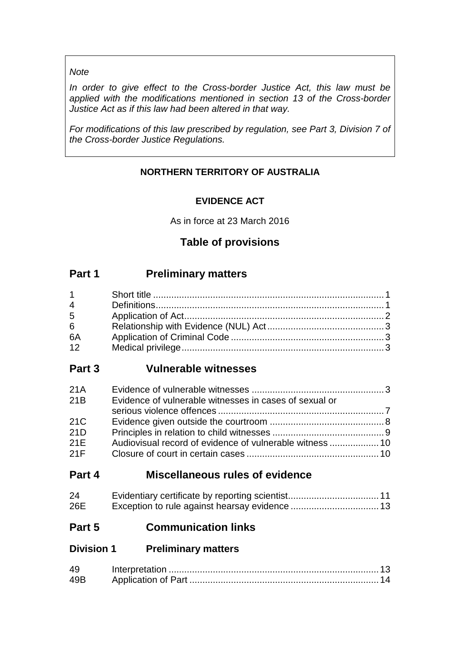#### *Note*

*In order to give effect to the Cross-border Justice Act, this law must be applied with the modifications mentioned in section 13 of the Cross-border Justice Act as if this law had been altered in that way.*

*For modifications of this law prescribed by regulation, see Part 3, Division 7 of the Cross-border Justice Regulations.*

# **NORTHERN TERRITORY OF AUSTRALIA**

# **EVIDENCE ACT**

As in force at 23 March 2016

# **Table of provisions**

# **Part 1 Preliminary matters**

| $1 \quad \Box$ |  |
|----------------|--|
| $\overline{4}$ |  |
| $5^{\circ}$    |  |
| 6 <sup>1</sup> |  |
| 6A             |  |
| 12             |  |

# **Part 3 Vulnerable witnesses**

| 21A |                                                        |  |
|-----|--------------------------------------------------------|--|
| 21B | Evidence of vulnerable witnesses in cases of sexual or |  |
|     |                                                        |  |
| 21C |                                                        |  |
| 21D |                                                        |  |
| 21E |                                                        |  |
| 21F |                                                        |  |

# **Part 4 Miscellaneous rules of evidence**

| 24  |  |
|-----|--|
| 26E |  |

# **Part 5 Communication links**

# **Division 1 Preliminary matters**

| 49  |  |
|-----|--|
| 49B |  |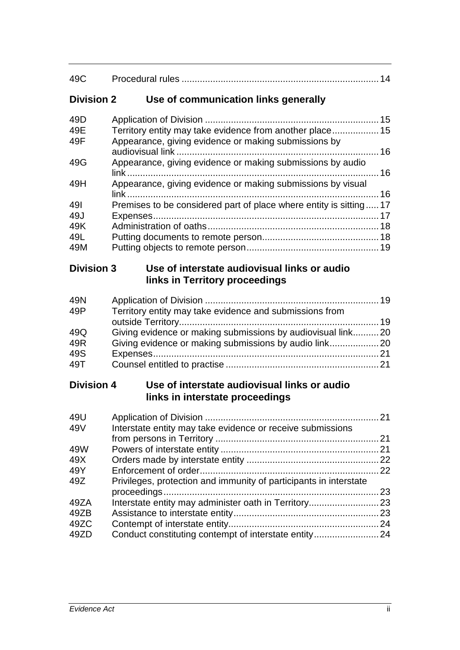| Use of communication links generally<br><b>Division 2</b>                                           |                                                                                                                                                                                                                                                                                                                                                                                                                                                                                          |
|-----------------------------------------------------------------------------------------------------|------------------------------------------------------------------------------------------------------------------------------------------------------------------------------------------------------------------------------------------------------------------------------------------------------------------------------------------------------------------------------------------------------------------------------------------------------------------------------------------|
|                                                                                                     |                                                                                                                                                                                                                                                                                                                                                                                                                                                                                          |
|                                                                                                     |                                                                                                                                                                                                                                                                                                                                                                                                                                                                                          |
| Appearance, giving evidence or making submissions by                                                |                                                                                                                                                                                                                                                                                                                                                                                                                                                                                          |
| Appearance, giving evidence or making submissions by audio                                          |                                                                                                                                                                                                                                                                                                                                                                                                                                                                                          |
|                                                                                                     |                                                                                                                                                                                                                                                                                                                                                                                                                                                                                          |
|                                                                                                     |                                                                                                                                                                                                                                                                                                                                                                                                                                                                                          |
|                                                                                                     |                                                                                                                                                                                                                                                                                                                                                                                                                                                                                          |
|                                                                                                     |                                                                                                                                                                                                                                                                                                                                                                                                                                                                                          |
|                                                                                                     |                                                                                                                                                                                                                                                                                                                                                                                                                                                                                          |
|                                                                                                     |                                                                                                                                                                                                                                                                                                                                                                                                                                                                                          |
|                                                                                                     |                                                                                                                                                                                                                                                                                                                                                                                                                                                                                          |
| <b>Division 3</b><br>Use of interstate audiovisual links or audio<br>links in Territory proceedings |                                                                                                                                                                                                                                                                                                                                                                                                                                                                                          |
|                                                                                                     |                                                                                                                                                                                                                                                                                                                                                                                                                                                                                          |
|                                                                                                     |                                                                                                                                                                                                                                                                                                                                                                                                                                                                                          |
|                                                                                                     |                                                                                                                                                                                                                                                                                                                                                                                                                                                                                          |
|                                                                                                     |                                                                                                                                                                                                                                                                                                                                                                                                                                                                                          |
|                                                                                                     |                                                                                                                                                                                                                                                                                                                                                                                                                                                                                          |
|                                                                                                     |                                                                                                                                                                                                                                                                                                                                                                                                                                                                                          |
|                                                                                                     |                                                                                                                                                                                                                                                                                                                                                                                                                                                                                          |
| Use of interstate audiovisual links or audio<br><b>Division 4</b>                                   |                                                                                                                                                                                                                                                                                                                                                                                                                                                                                          |
|                                                                                                     |                                                                                                                                                                                                                                                                                                                                                                                                                                                                                          |
|                                                                                                     |                                                                                                                                                                                                                                                                                                                                                                                                                                                                                          |
| Interstate entity may take evidence or receive submissions                                          |                                                                                                                                                                                                                                                                                                                                                                                                                                                                                          |
|                                                                                                     |                                                                                                                                                                                                                                                                                                                                                                                                                                                                                          |
|                                                                                                     |                                                                                                                                                                                                                                                                                                                                                                                                                                                                                          |
|                                                                                                     |                                                                                                                                                                                                                                                                                                                                                                                                                                                                                          |
|                                                                                                     |                                                                                                                                                                                                                                                                                                                                                                                                                                                                                          |
|                                                                                                     |                                                                                                                                                                                                                                                                                                                                                                                                                                                                                          |
|                                                                                                     |                                                                                                                                                                                                                                                                                                                                                                                                                                                                                          |
|                                                                                                     |                                                                                                                                                                                                                                                                                                                                                                                                                                                                                          |
|                                                                                                     |                                                                                                                                                                                                                                                                                                                                                                                                                                                                                          |
|                                                                                                     |                                                                                                                                                                                                                                                                                                                                                                                                                                                                                          |
|                                                                                                     |                                                                                                                                                                                                                                                                                                                                                                                                                                                                                          |
|                                                                                                     | Territory entity may take evidence from another place 15<br>Appearance, giving evidence or making submissions by visual<br>Premises to be considered part of place where entity is sitting 17<br>Territory entity may take evidence and submissions from<br>Giving evidence or making submissions by audiovisual link 20<br>links in interstate proceedings<br>Privileges, protection and immunity of participants in interstate<br>Conduct constituting contempt of interstate entity24 |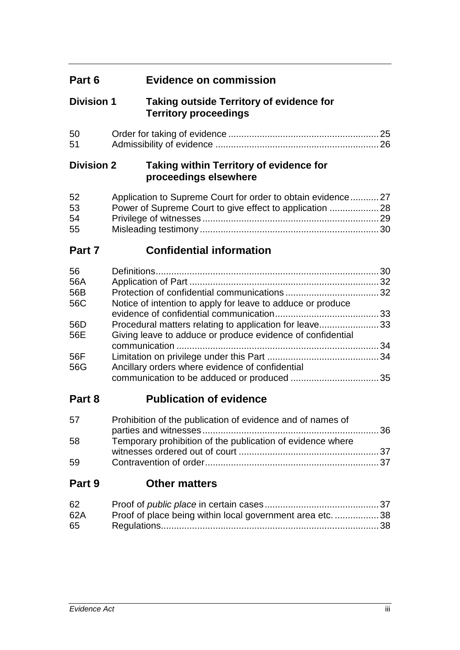| Part 6 | Evidence on commission |  |
|--------|------------------------|--|
|--------|------------------------|--|

# **Division 1 Taking outside Territory of evidence for Territory proceedings**

| 50 |  |
|----|--|
| 51 |  |

# **Division 2 Taking within Territory of evidence for proceedings elsewhere**

| 52 | Application to Supreme Court for order to obtain evidence27 |  |
|----|-------------------------------------------------------------|--|
| 53 |                                                             |  |
| 54 |                                                             |  |
| 55 |                                                             |  |

# **Part 7 Confidential information**

| 56  |                                                             |    |
|-----|-------------------------------------------------------------|----|
| 56A |                                                             | 32 |
| 56B |                                                             |    |
| 56C | Notice of intention to apply for leave to adduce or produce |    |
|     |                                                             |    |
| 56D | Procedural matters relating to application for leave33      |    |
| 56E | Giving leave to adduce or produce evidence of confidential  |    |
|     |                                                             |    |
| 56F |                                                             |    |
| 56G | Ancillary orders where evidence of confidential             |    |
|     |                                                             |    |
|     |                                                             |    |

# **Part 8 Publication of evidence**

| 57 | Prohibition of the publication of evidence and of names of |  |
|----|------------------------------------------------------------|--|
|    |                                                            |  |
| 58 | Temporary prohibition of the publication of evidence where |  |
|    |                                                            |  |
| 59 |                                                            |  |

# **Part 9 Other matters**

| 62  |                                                           |  |
|-----|-----------------------------------------------------------|--|
| 62A | Proof of place being within local government area etc. 38 |  |
| 65  |                                                           |  |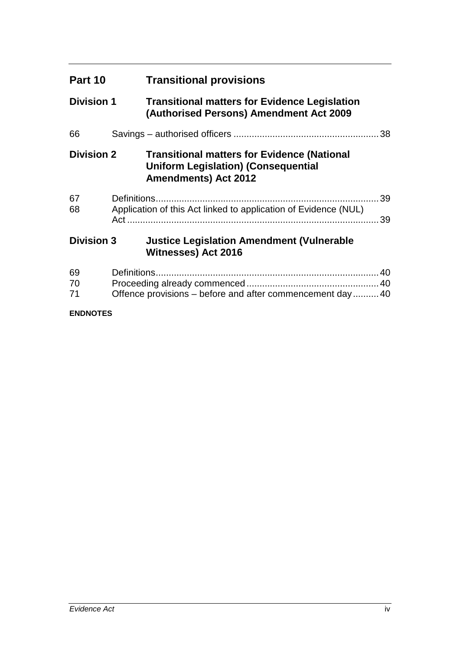| Part 10           |             | <b>Transitional provisions</b>                                                                                                  |          |
|-------------------|-------------|---------------------------------------------------------------------------------------------------------------------------------|----------|
| <b>Division 1</b> |             | <b>Transitional matters for Evidence Legislation</b><br>(Authorised Persons) Amendment Act 2009                                 |          |
| 66                |             |                                                                                                                                 | 38       |
| <b>Division 2</b> |             | <b>Transitional matters for Evidence (National</b><br><b>Uniform Legislation) (Consequential</b><br><b>Amendments) Act 2012</b> |          |
| 67<br>68          |             | Application of this Act linked to application of Evidence (NUL)                                                                 | 39<br>39 |
| <b>Division 3</b> |             | <b>Justice Legislation Amendment (Vulnerable</b><br><b>Witnesses) Act 2016</b>                                                  |          |
| 69<br>70<br>71    | Definitions | Offence provisions – before and after commencement day 40                                                                       |          |
| <b>ENDNOTES</b>   |             |                                                                                                                                 |          |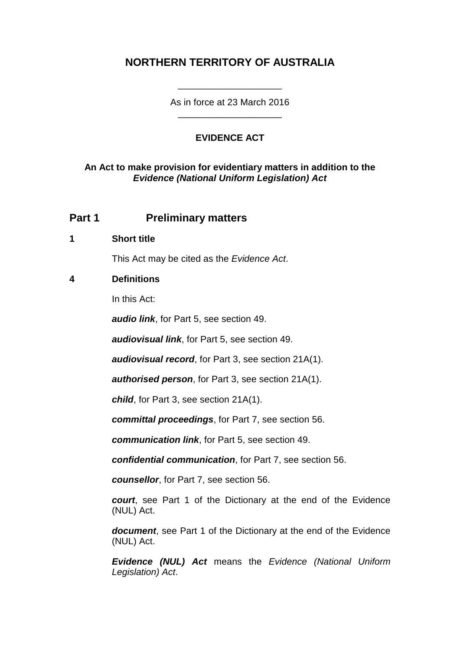# **NORTHERN TERRITORY OF AUSTRALIA**

As in force at 23 March 2016 \_\_\_\_\_\_\_\_\_\_\_\_\_\_\_\_\_\_\_\_

\_\_\_\_\_\_\_\_\_\_\_\_\_\_\_\_\_\_\_\_

#### **EVIDENCE ACT**

#### **An Act to make provision for evidentiary matters in addition to the**  *Evidence (National Uniform Legislation) Act*

## **Part 1 Preliminary matters**

#### **1 Short title**

This Act may be cited as the *Evidence Act*.

#### **4 Definitions**

In this Act:

*audio link*, for Part 5, see section 49.

*audiovisual link*, for Part 5, see section 49.

*audiovisual record*, for Part 3, see section 21A(1).

*authorised person*, for Part 3, see section 21A(1).

*child*, for Part 3, see section 21A(1).

*committal proceedings*, for Part 7, see section 56.

*communication link*, for Part 5, see section 49.

*confidential communication*, for Part 7, see section 56.

*counsellor*, for Part 7, see section 56.

*court*, see Part 1 of the Dictionary at the end of the Evidence (NUL) Act.

*document*, see Part 1 of the Dictionary at the end of the Evidence (NUL) Act.

*Evidence (NUL) Act* means the *Evidence (National Uniform Legislation) Act*.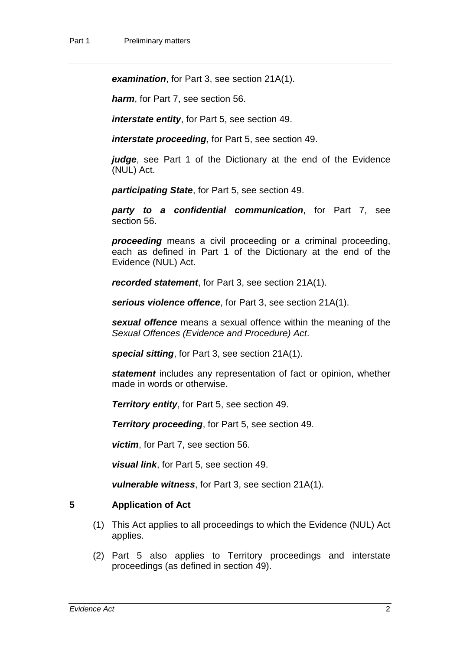*examination*, for Part 3, see section 21A(1).

*harm*, for Part 7, see section 56.

*interstate entity*, for Part 5, see section 49.

*interstate proceeding*, for Part 5, see section 49.

*judge*, see Part 1 of the Dictionary at the end of the Evidence (NUL) Act.

*participating State*, for Part 5, see section 49.

*party to a confidential communication*, for Part 7, see section 56.

*proceeding* means a civil proceeding or a criminal proceeding, each as defined in Part 1 of the Dictionary at the end of the Evidence (NUL) Act.

*recorded statement*, for Part 3, see section 21A(1).

*serious violence offence*, for Part 3, see section 21A(1).

*sexual offence* means a sexual offence within the meaning of the *Sexual Offences (Evidence and Procedure) Act*.

*special sitting*, for Part 3, see section 21A(1).

*statement* includes any representation of fact or opinion, whether made in words or otherwise.

*Territory entity*, for Part 5, see section 49.

*Territory proceeding*, for Part 5, see section 49.

*victim*, for Part 7, see section 56.

*visual link*, for Part 5, see section 49.

*vulnerable witness*, for Part 3, see section 21A(1).

#### **5 Application of Act**

- (1) This Act applies to all proceedings to which the Evidence (NUL) Act applies.
- (2) Part 5 also applies to Territory proceedings and interstate proceedings (as defined in section 49).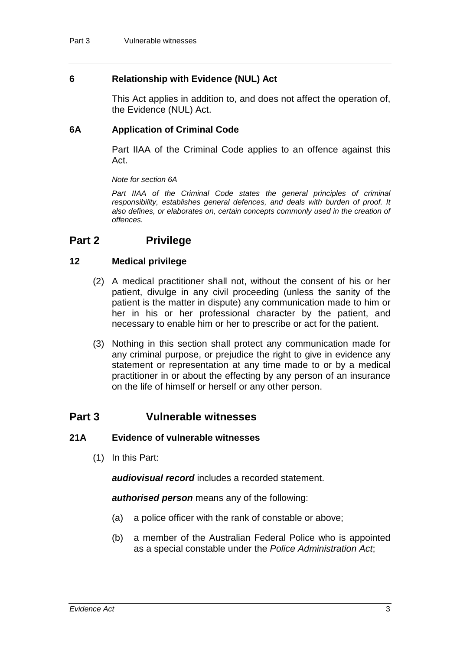#### **6 Relationship with Evidence (NUL) Act**

This Act applies in addition to, and does not affect the operation of, the Evidence (NUL) Act.

#### **6A Application of Criminal Code**

Part IIAA of the Criminal Code applies to an offence against this Act.

#### *Note for section 6A*

Part IIAA of the Criminal Code states the general principles of criminal *responsibility, establishes general defences, and deals with burden of proof. It also defines, or elaborates on, certain concepts commonly used in the creation of offences.*

## **Part 2 Privilege**

#### **12 Medical privilege**

- (2) A medical practitioner shall not, without the consent of his or her patient, divulge in any civil proceeding (unless the sanity of the patient is the matter in dispute) any communication made to him or her in his or her professional character by the patient, and necessary to enable him or her to prescribe or act for the patient.
- (3) Nothing in this section shall protect any communication made for any criminal purpose, or prejudice the right to give in evidence any statement or representation at any time made to or by a medical practitioner in or about the effecting by any person of an insurance on the life of himself or herself or any other person.

#### **Part 3 Vulnerable witnesses**

#### **21A Evidence of vulnerable witnesses**

(1) In this Part:

*audiovisual record* includes a recorded statement.

*authorised person* means any of the following:

- (a) a police officer with the rank of constable or above;
- (b) a member of the Australian Federal Police who is appointed as a special constable under the *Police Administration Act*;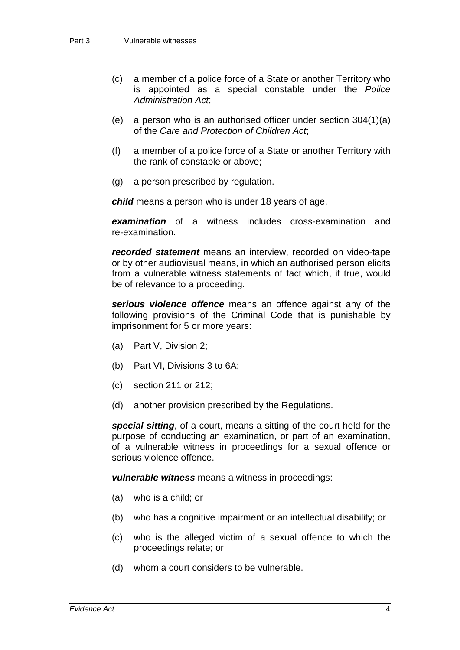- (c) a member of a police force of a State or another Territory who is appointed as a special constable under the *Police Administration Act*;
- (e) a person who is an authorised officer under section 304(1)(a) of the *Care and Protection of Children Act*;
- (f) a member of a police force of a State or another Territory with the rank of constable or above;
- (g) a person prescribed by regulation.

*child* means a person who is under 18 years of age.

*examination* of a witness includes cross-examination and re-examination.

*recorded statement* means an interview, recorded on video-tape or by other audiovisual means, in which an authorised person elicits from a vulnerable witness statements of fact which, if true, would be of relevance to a proceeding.

*serious violence offence* means an offence against any of the following provisions of the Criminal Code that is punishable by imprisonment for 5 or more years:

- (a) Part V, Division 2;
- (b) Part VI, Divisions 3 to 6A;
- (c) section 211 or 212;
- (d) another provision prescribed by the Regulations.

*special sitting*, of a court, means a sitting of the court held for the purpose of conducting an examination, or part of an examination, of a vulnerable witness in proceedings for a sexual offence or serious violence offence.

*vulnerable witness* means a witness in proceedings:

- (a) who is a child; or
- (b) who has a cognitive impairment or an intellectual disability; or
- (c) who is the alleged victim of a sexual offence to which the proceedings relate; or
- (d) whom a court considers to be vulnerable.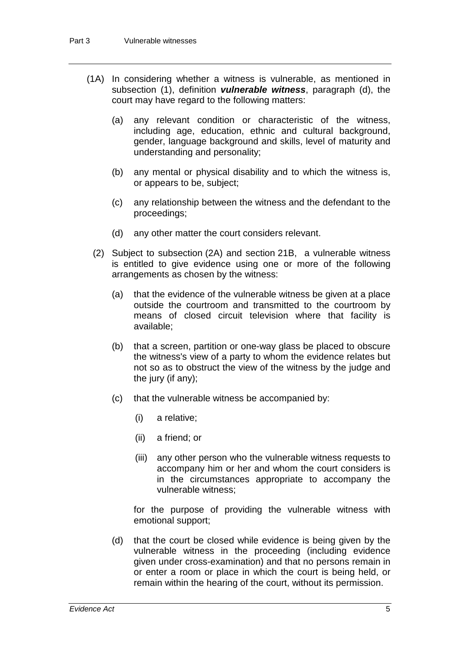- (1A) In considering whether a witness is vulnerable, as mentioned in subsection (1), definition *vulnerable witness*, paragraph (d), the court may have regard to the following matters:
	- (a) any relevant condition or characteristic of the witness, including age, education, ethnic and cultural background, gender, language background and skills, level of maturity and understanding and personality;
	- (b) any mental or physical disability and to which the witness is, or appears to be, subject;
	- (c) any relationship between the witness and the defendant to the proceedings;
	- (d) any other matter the court considers relevant.
	- (2) Subject to subsection (2A) and section 21B, a vulnerable witness is entitled to give evidence using one or more of the following arrangements as chosen by the witness:
		- (a) that the evidence of the vulnerable witness be given at a place outside the courtroom and transmitted to the courtroom by means of closed circuit television where that facility is available;
		- (b) that a screen, partition or one-way glass be placed to obscure the witness's view of a party to whom the evidence relates but not so as to obstruct the view of the witness by the judge and the jury (if any);
		- (c) that the vulnerable witness be accompanied by:
			- (i) a relative;
			- (ii) a friend; or
			- (iii) any other person who the vulnerable witness requests to accompany him or her and whom the court considers is in the circumstances appropriate to accompany the vulnerable witness;

for the purpose of providing the vulnerable witness with emotional support;

(d) that the court be closed while evidence is being given by the vulnerable witness in the proceeding (including evidence given under cross-examination) and that no persons remain in or enter a room or place in which the court is being held, or remain within the hearing of the court, without its permission.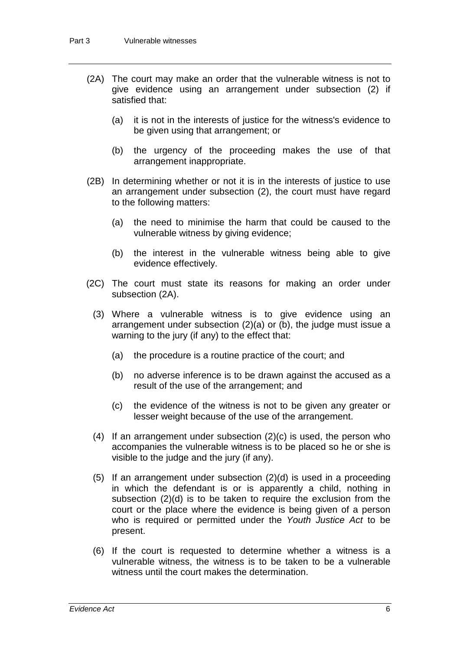- (2A) The court may make an order that the vulnerable witness is not to give evidence using an arrangement under subsection (2) if satisfied that:
	- (a) it is not in the interests of justice for the witness's evidence to be given using that arrangement; or
	- (b) the urgency of the proceeding makes the use of that arrangement inappropriate.
- (2B) In determining whether or not it is in the interests of justice to use an arrangement under subsection (2), the court must have regard to the following matters:
	- (a) the need to minimise the harm that could be caused to the vulnerable witness by giving evidence;
	- (b) the interest in the vulnerable witness being able to give evidence effectively.
- (2C) The court must state its reasons for making an order under subsection (2A).
	- (3) Where a vulnerable witness is to give evidence using an arrangement under subsection (2)(a) or (b), the judge must issue a warning to the jury (if any) to the effect that:
		- (a) the procedure is a routine practice of the court; and
		- (b) no adverse inference is to be drawn against the accused as a result of the use of the arrangement; and
		- (c) the evidence of the witness is not to be given any greater or lesser weight because of the use of the arrangement.
	- (4) If an arrangement under subsection (2)(c) is used, the person who accompanies the vulnerable witness is to be placed so he or she is visible to the judge and the jury (if any).
	- (5) If an arrangement under subsection (2)(d) is used in a proceeding in which the defendant is or is apparently a child, nothing in subsection (2)(d) is to be taken to require the exclusion from the court or the place where the evidence is being given of a person who is required or permitted under the *Youth Justice Act* to be present.
	- (6) If the court is requested to determine whether a witness is a vulnerable witness, the witness is to be taken to be a vulnerable witness until the court makes the determination.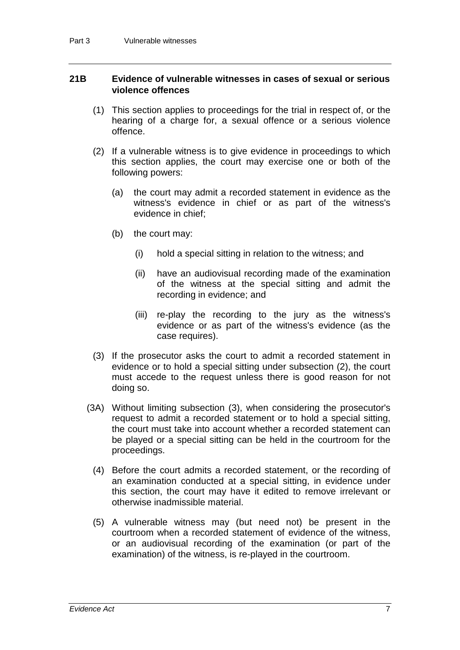#### **21B Evidence of vulnerable witnesses in cases of sexual or serious violence offences**

- (1) This section applies to proceedings for the trial in respect of, or the hearing of a charge for, a sexual offence or a serious violence offence.
- (2) If a vulnerable witness is to give evidence in proceedings to which this section applies, the court may exercise one or both of the following powers:
	- (a) the court may admit a recorded statement in evidence as the witness's evidence in chief or as part of the witness's evidence in chief;
	- (b) the court may:
		- (i) hold a special sitting in relation to the witness; and
		- (ii) have an audiovisual recording made of the examination of the witness at the special sitting and admit the recording in evidence; and
		- (iii) re-play the recording to the jury as the witness's evidence or as part of the witness's evidence (as the case requires).
- (3) If the prosecutor asks the court to admit a recorded statement in evidence or to hold a special sitting under subsection (2), the court must accede to the request unless there is good reason for not doing so.
- (3A) Without limiting subsection (3), when considering the prosecutor's request to admit a recorded statement or to hold a special sitting, the court must take into account whether a recorded statement can be played or a special sitting can be held in the courtroom for the proceedings.
	- (4) Before the court admits a recorded statement, or the recording of an examination conducted at a special sitting, in evidence under this section, the court may have it edited to remove irrelevant or otherwise inadmissible material.
	- (5) A vulnerable witness may (but need not) be present in the courtroom when a recorded statement of evidence of the witness, or an audiovisual recording of the examination (or part of the examination) of the witness, is re-played in the courtroom.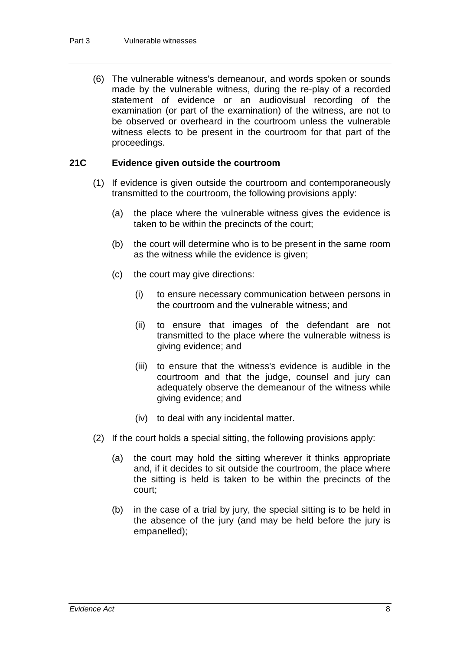(6) The vulnerable witness's demeanour, and words spoken or sounds made by the vulnerable witness, during the re-play of a recorded statement of evidence or an audiovisual recording of the examination (or part of the examination) of the witness, are not to be observed or overheard in the courtroom unless the vulnerable witness elects to be present in the courtroom for that part of the proceedings.

#### **21C Evidence given outside the courtroom**

- (1) If evidence is given outside the courtroom and contemporaneously transmitted to the courtroom, the following provisions apply:
	- (a) the place where the vulnerable witness gives the evidence is taken to be within the precincts of the court;
	- (b) the court will determine who is to be present in the same room as the witness while the evidence is given;
	- (c) the court may give directions:
		- (i) to ensure necessary communication between persons in the courtroom and the vulnerable witness; and
		- (ii) to ensure that images of the defendant are not transmitted to the place where the vulnerable witness is giving evidence; and
		- (iii) to ensure that the witness's evidence is audible in the courtroom and that the judge, counsel and jury can adequately observe the demeanour of the witness while giving evidence; and
		- (iv) to deal with any incidental matter.
- (2) If the court holds a special sitting, the following provisions apply:
	- (a) the court may hold the sitting wherever it thinks appropriate and, if it decides to sit outside the courtroom, the place where the sitting is held is taken to be within the precincts of the court;
	- (b) in the case of a trial by jury, the special sitting is to be held in the absence of the jury (and may be held before the jury is empanelled);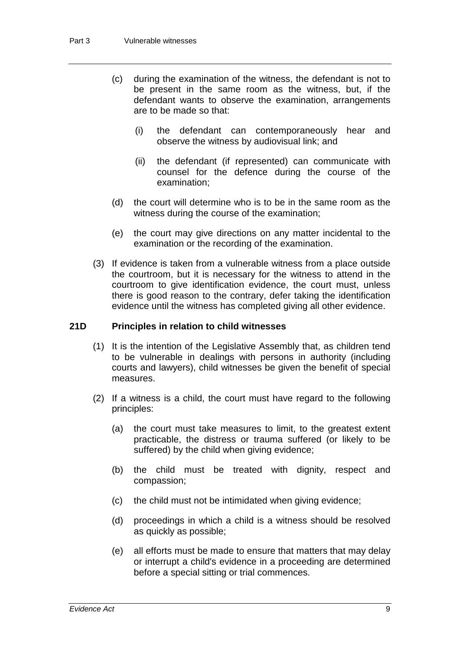- (c) during the examination of the witness, the defendant is not to be present in the same room as the witness, but, if the defendant wants to observe the examination, arrangements are to be made so that:
	- (i) the defendant can contemporaneously hear and observe the witness by audiovisual link; and
	- (ii) the defendant (if represented) can communicate with counsel for the defence during the course of the examination;
- (d) the court will determine who is to be in the same room as the witness during the course of the examination;
- (e) the court may give directions on any matter incidental to the examination or the recording of the examination.
- (3) If evidence is taken from a vulnerable witness from a place outside the courtroom, but it is necessary for the witness to attend in the courtroom to give identification evidence, the court must, unless there is good reason to the contrary, defer taking the identification evidence until the witness has completed giving all other evidence.

#### **21D Principles in relation to child witnesses**

- (1) It is the intention of the Legislative Assembly that, as children tend to be vulnerable in dealings with persons in authority (including courts and lawyers), child witnesses be given the benefit of special measures.
- (2) If a witness is a child, the court must have regard to the following principles:
	- (a) the court must take measures to limit, to the greatest extent practicable, the distress or trauma suffered (or likely to be suffered) by the child when giving evidence;
	- (b) the child must be treated with dignity, respect and compassion;
	- (c) the child must not be intimidated when giving evidence;
	- (d) proceedings in which a child is a witness should be resolved as quickly as possible;
	- (e) all efforts must be made to ensure that matters that may delay or interrupt a child's evidence in a proceeding are determined before a special sitting or trial commences.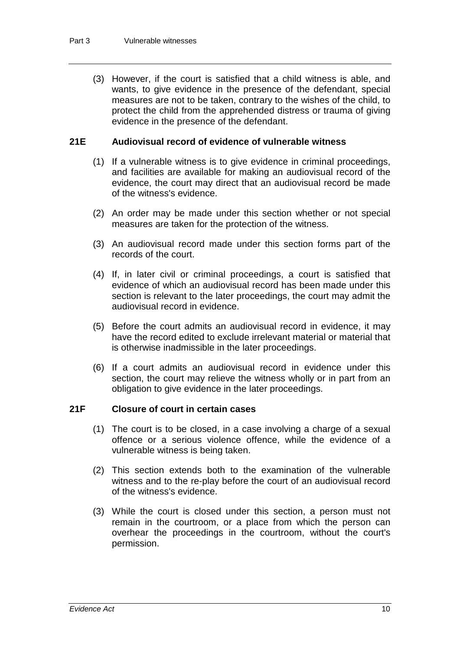(3) However, if the court is satisfied that a child witness is able, and wants, to give evidence in the presence of the defendant, special measures are not to be taken, contrary to the wishes of the child, to protect the child from the apprehended distress or trauma of giving evidence in the presence of the defendant.

#### **21E Audiovisual record of evidence of vulnerable witness**

- (1) If a vulnerable witness is to give evidence in criminal proceedings, and facilities are available for making an audiovisual record of the evidence, the court may direct that an audiovisual record be made of the witness's evidence.
- (2) An order may be made under this section whether or not special measures are taken for the protection of the witness.
- (3) An audiovisual record made under this section forms part of the records of the court.
- (4) If, in later civil or criminal proceedings, a court is satisfied that evidence of which an audiovisual record has been made under this section is relevant to the later proceedings, the court may admit the audiovisual record in evidence.
- (5) Before the court admits an audiovisual record in evidence, it may have the record edited to exclude irrelevant material or material that is otherwise inadmissible in the later proceedings.
- (6) If a court admits an audiovisual record in evidence under this section, the court may relieve the witness wholly or in part from an obligation to give evidence in the later proceedings.

#### **21F Closure of court in certain cases**

- (1) The court is to be closed, in a case involving a charge of a sexual offence or a serious violence offence, while the evidence of a vulnerable witness is being taken.
- (2) This section extends both to the examination of the vulnerable witness and to the re-play before the court of an audiovisual record of the witness's evidence.
- (3) While the court is closed under this section, a person must not remain in the courtroom, or a place from which the person can overhear the proceedings in the courtroom, without the court's permission.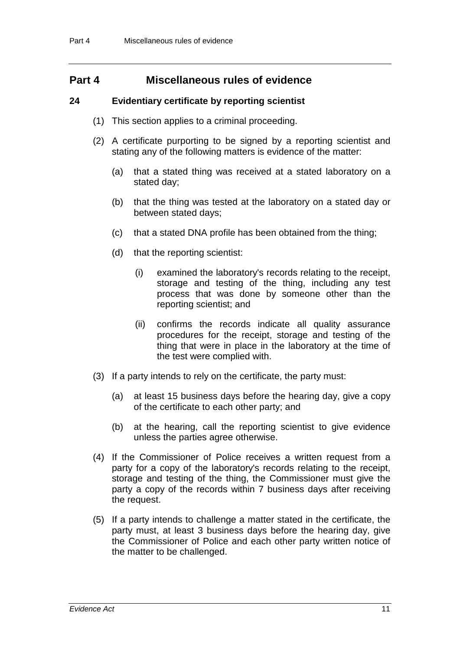# **Part 4 Miscellaneous rules of evidence**

#### **24 Evidentiary certificate by reporting scientist**

- (1) This section applies to a criminal proceeding.
- (2) A certificate purporting to be signed by a reporting scientist and stating any of the following matters is evidence of the matter:
	- (a) that a stated thing was received at a stated laboratory on a stated day;
	- (b) that the thing was tested at the laboratory on a stated day or between stated days;
	- (c) that a stated DNA profile has been obtained from the thing;
	- (d) that the reporting scientist:
		- (i) examined the laboratory's records relating to the receipt, storage and testing of the thing, including any test process that was done by someone other than the reporting scientist; and
		- (ii) confirms the records indicate all quality assurance procedures for the receipt, storage and testing of the thing that were in place in the laboratory at the time of the test were complied with.
- (3) If a party intends to rely on the certificate, the party must:
	- (a) at least 15 business days before the hearing day, give a copy of the certificate to each other party; and
	- (b) at the hearing, call the reporting scientist to give evidence unless the parties agree otherwise.
- (4) If the Commissioner of Police receives a written request from a party for a copy of the laboratory's records relating to the receipt, storage and testing of the thing, the Commissioner must give the party a copy of the records within 7 business days after receiving the request.
- (5) If a party intends to challenge a matter stated in the certificate, the party must, at least 3 business days before the hearing day, give the Commissioner of Police and each other party written notice of the matter to be challenged.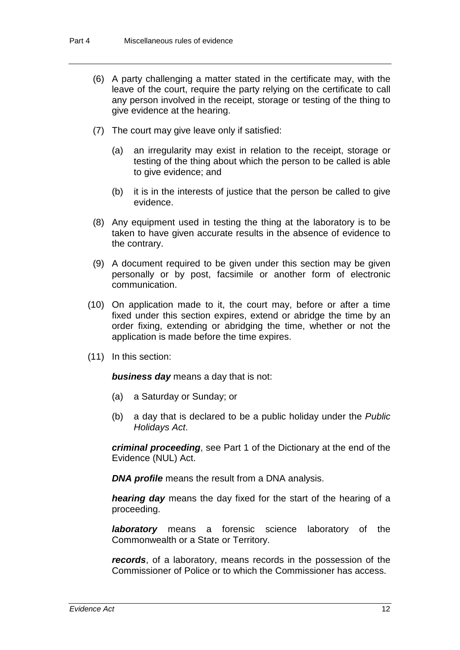- (6) A party challenging a matter stated in the certificate may, with the leave of the court, require the party relying on the certificate to call any person involved in the receipt, storage or testing of the thing to give evidence at the hearing.
- (7) The court may give leave only if satisfied:
	- (a) an irregularity may exist in relation to the receipt, storage or testing of the thing about which the person to be called is able to give evidence; and
	- (b) it is in the interests of justice that the person be called to give evidence.
- (8) Any equipment used in testing the thing at the laboratory is to be taken to have given accurate results in the absence of evidence to the contrary.
- (9) A document required to be given under this section may be given personally or by post, facsimile or another form of electronic communication.
- (10) On application made to it, the court may, before or after a time fixed under this section expires, extend or abridge the time by an order fixing, extending or abridging the time, whether or not the application is made before the time expires.
- (11) In this section:

*business day* means a day that is not:

- (a) a Saturday or Sunday; or
- (b) a day that is declared to be a public holiday under the *Public Holidays Act*.

*criminal proceeding*, see Part 1 of the Dictionary at the end of the Evidence (NUL) Act.

*DNA profile* means the result from a DNA analysis.

*hearing day* means the day fixed for the start of the hearing of a proceeding.

*laboratory* means a forensic science laboratory of the Commonwealth or a State or Territory.

*records*, of a laboratory, means records in the possession of the Commissioner of Police or to which the Commissioner has access.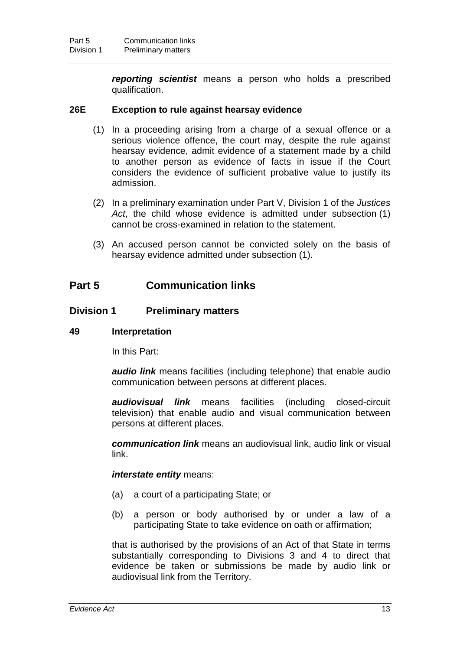*reporting scientist* means a person who holds a prescribed qualification.

#### **26E Exception to rule against hearsay evidence**

- (1) In a proceeding arising from a charge of a sexual offence or a serious violence offence, the court may, despite the rule against hearsay evidence, admit evidence of a statement made by a child to another person as evidence of facts in issue if the Court considers the evidence of sufficient probative value to justify its admission.
- (2) In a preliminary examination under Part V, Division 1 of the *Justices Act*, the child whose evidence is admitted under subsection (1) cannot be cross-examined in relation to the statement.
- (3) An accused person cannot be convicted solely on the basis of hearsay evidence admitted under subsection (1).

# **Part 5 Communication links**

#### **Division 1 Preliminary matters**

#### **49 Interpretation**

In this Part:

*audio link* means facilities (including telephone) that enable audio communication between persons at different places.

*audiovisual link* means facilities (including closed-circuit television) that enable audio and visual communication between persons at different places.

*communication link* means an audiovisual link, audio link or visual link.

#### *interstate entity* means:

- (a) a court of a participating State; or
- (b) a person or body authorised by or under a law of a participating State to take evidence on oath or affirmation;

that is authorised by the provisions of an Act of that State in terms substantially corresponding to Divisions 3 and 4 to direct that evidence be taken or submissions be made by audio link or audiovisual link from the Territory.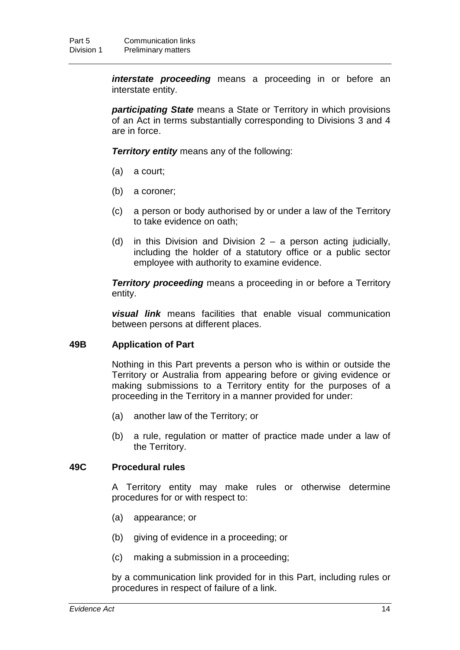*interstate proceeding* means a proceeding in or before an interstate entity.

*participating State* means a State or Territory in which provisions of an Act in terms substantially corresponding to Divisions 3 and 4 are in force.

*Territory entity* means any of the following:

- (a) a court;
- (b) a coroner;
- (c) a person or body authorised by or under a law of the Territory to take evidence on oath;
- (d) in this Division and Division  $2 a$  person acting judicially, including the holder of a statutory office or a public sector employee with authority to examine evidence.

*Territory proceeding* means a proceeding in or before a Territory entity.

*visual link* means facilities that enable visual communication between persons at different places.

#### **49B Application of Part**

Nothing in this Part prevents a person who is within or outside the Territory or Australia from appearing before or giving evidence or making submissions to a Territory entity for the purposes of a proceeding in the Territory in a manner provided for under:

- (a) another law of the Territory; or
- (b) a rule, regulation or matter of practice made under a law of the Territory.

#### **49C Procedural rules**

A Territory entity may make rules or otherwise determine procedures for or with respect to:

- (a) appearance; or
- (b) giving of evidence in a proceeding; or
- (c) making a submission in a proceeding;

by a communication link provided for in this Part, including rules or procedures in respect of failure of a link.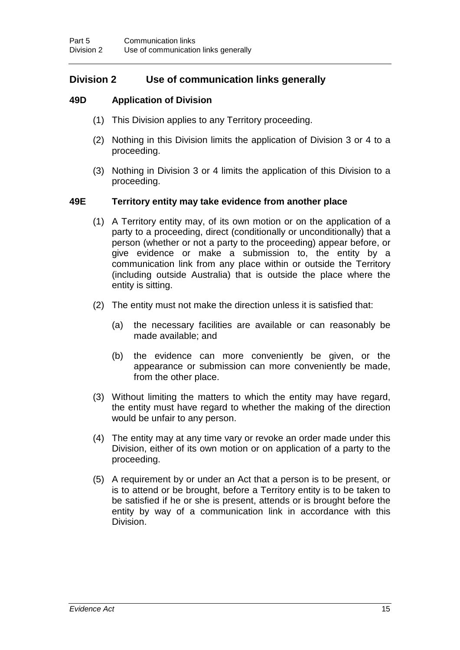# **Division 2 Use of communication links generally**

#### **49D Application of Division**

- (1) This Division applies to any Territory proceeding.
- (2) Nothing in this Division limits the application of Division 3 or 4 to a proceeding.
- (3) Nothing in Division 3 or 4 limits the application of this Division to a proceeding.

#### **49E Territory entity may take evidence from another place**

- (1) A Territory entity may, of its own motion or on the application of a party to a proceeding, direct (conditionally or unconditionally) that a person (whether or not a party to the proceeding) appear before, or give evidence or make a submission to, the entity by a communication link from any place within or outside the Territory (including outside Australia) that is outside the place where the entity is sitting.
- (2) The entity must not make the direction unless it is satisfied that:
	- (a) the necessary facilities are available or can reasonably be made available; and
	- (b) the evidence can more conveniently be given, or the appearance or submission can more conveniently be made, from the other place.
- (3) Without limiting the matters to which the entity may have regard, the entity must have regard to whether the making of the direction would be unfair to any person.
- (4) The entity may at any time vary or revoke an order made under this Division, either of its own motion or on application of a party to the proceeding.
- (5) A requirement by or under an Act that a person is to be present, or is to attend or be brought, before a Territory entity is to be taken to be satisfied if he or she is present, attends or is brought before the entity by way of a communication link in accordance with this Division.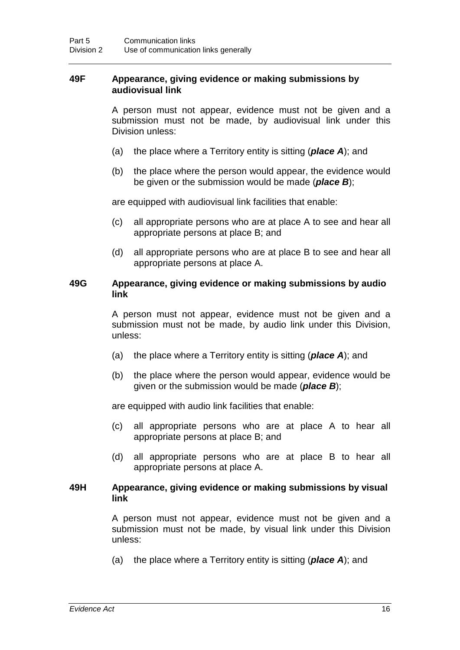#### **49F Appearance, giving evidence or making submissions by audiovisual link**

A person must not appear, evidence must not be given and a submission must not be made, by audiovisual link under this Division unless:

- (a) the place where a Territory entity is sitting (*place A*); and
- (b) the place where the person would appear, the evidence would be given or the submission would be made (*place B*);

are equipped with audiovisual link facilities that enable:

- (c) all appropriate persons who are at place A to see and hear all appropriate persons at place B; and
- (d) all appropriate persons who are at place B to see and hear all appropriate persons at place A.

#### **49G Appearance, giving evidence or making submissions by audio link**

A person must not appear, evidence must not be given and a submission must not be made, by audio link under this Division, unless:

- (a) the place where a Territory entity is sitting (*place A*); and
- (b) the place where the person would appear, evidence would be given or the submission would be made (*place B*);

are equipped with audio link facilities that enable:

- (c) all appropriate persons who are at place A to hear all appropriate persons at place B; and
- (d) all appropriate persons who are at place B to hear all appropriate persons at place A.

#### **49H Appearance, giving evidence or making submissions by visual link**

A person must not appear, evidence must not be given and a submission must not be made, by visual link under this Division unless:

(a) the place where a Territory entity is sitting (*place A*); and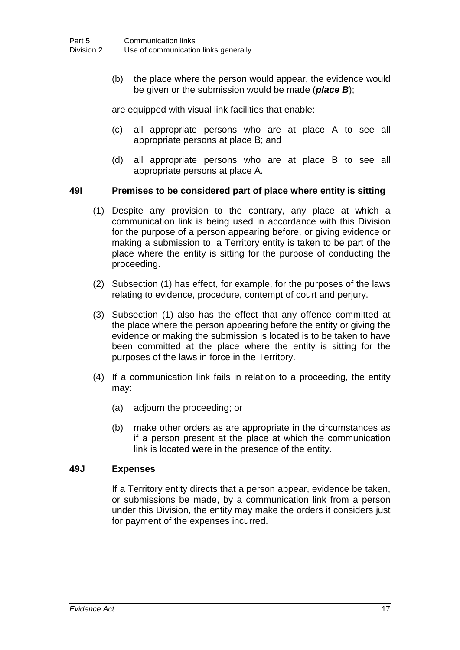(b) the place where the person would appear, the evidence would be given or the submission would be made (*place B*);

are equipped with visual link facilities that enable:

- (c) all appropriate persons who are at place A to see all appropriate persons at place B; and
- (d) all appropriate persons who are at place B to see all appropriate persons at place A.

#### **49I Premises to be considered part of place where entity is sitting**

- (1) Despite any provision to the contrary, any place at which a communication link is being used in accordance with this Division for the purpose of a person appearing before, or giving evidence or making a submission to, a Territory entity is taken to be part of the place where the entity is sitting for the purpose of conducting the proceeding.
- (2) Subsection (1) has effect, for example, for the purposes of the laws relating to evidence, procedure, contempt of court and perjury.
- (3) Subsection (1) also has the effect that any offence committed at the place where the person appearing before the entity or giving the evidence or making the submission is located is to be taken to have been committed at the place where the entity is sitting for the purposes of the laws in force in the Territory.
- (4) If a communication link fails in relation to a proceeding, the entity may:
	- (a) adjourn the proceeding; or
	- (b) make other orders as are appropriate in the circumstances as if a person present at the place at which the communication link is located were in the presence of the entity.

#### **49J Expenses**

If a Territory entity directs that a person appear, evidence be taken, or submissions be made, by a communication link from a person under this Division, the entity may make the orders it considers just for payment of the expenses incurred.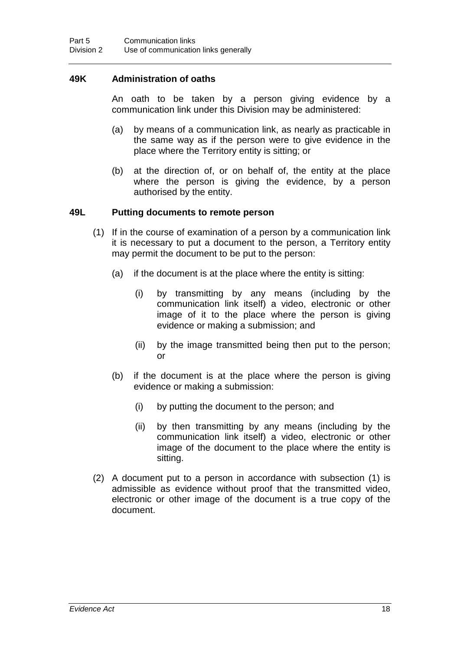#### **49K Administration of oaths**

An oath to be taken by a person giving evidence by a communication link under this Division may be administered:

- (a) by means of a communication link, as nearly as practicable in the same way as if the person were to give evidence in the place where the Territory entity is sitting; or
- (b) at the direction of, or on behalf of, the entity at the place where the person is giving the evidence, by a person authorised by the entity.

#### **49L Putting documents to remote person**

- (1) If in the course of examination of a person by a communication link it is necessary to put a document to the person, a Territory entity may permit the document to be put to the person:
	- (a) if the document is at the place where the entity is sitting:
		- (i) by transmitting by any means (including by the communication link itself) a video, electronic or other image of it to the place where the person is giving evidence or making a submission; and
		- (ii) by the image transmitted being then put to the person; or
	- (b) if the document is at the place where the person is giving evidence or making a submission:
		- (i) by putting the document to the person; and
		- (ii) by then transmitting by any means (including by the communication link itself) a video, electronic or other image of the document to the place where the entity is sitting.
- (2) A document put to a person in accordance with subsection (1) is admissible as evidence without proof that the transmitted video, electronic or other image of the document is a true copy of the document.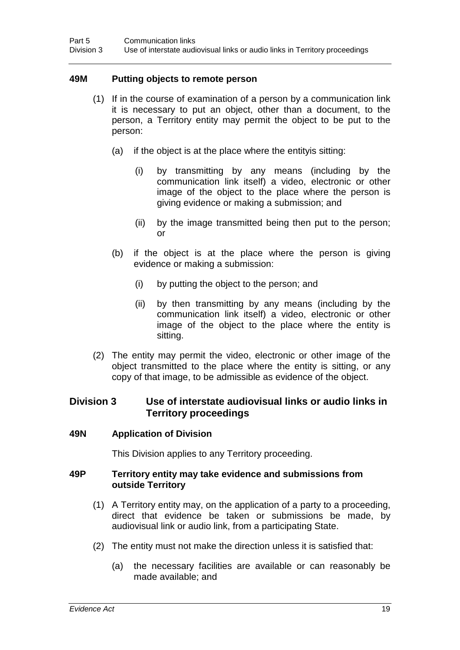#### **49M Putting objects to remote person**

- (1) If in the course of examination of a person by a communication link it is necessary to put an object, other than a document, to the person, a Territory entity may permit the object to be put to the person:
	- (a) if the object is at the place where the entityis sitting:
		- (i) by transmitting by any means (including by the communication link itself) a video, electronic or other image of the object to the place where the person is giving evidence or making a submission; and
		- (ii) by the image transmitted being then put to the person; or
	- (b) if the object is at the place where the person is giving evidence or making a submission:
		- (i) by putting the object to the person; and
		- (ii) by then transmitting by any means (including by the communication link itself) a video, electronic or other image of the object to the place where the entity is sitting.
- (2) The entity may permit the video, electronic or other image of the object transmitted to the place where the entity is sitting, or any copy of that image, to be admissible as evidence of the object.

#### **Division 3 Use of interstate audiovisual links or audio links in Territory proceedings**

#### **49N Application of Division**

This Division applies to any Territory proceeding.

#### **49P Territory entity may take evidence and submissions from outside Territory**

- (1) A Territory entity may, on the application of a party to a proceeding, direct that evidence be taken or submissions be made, by audiovisual link or audio link, from a participating State.
- (2) The entity must not make the direction unless it is satisfied that:
	- (a) the necessary facilities are available or can reasonably be made available; and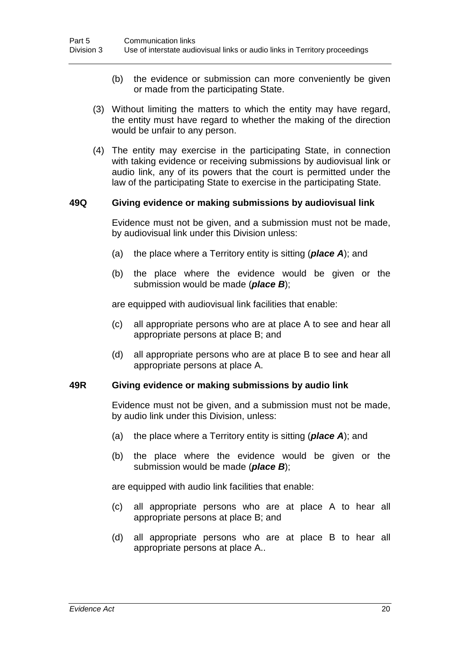- (b) the evidence or submission can more conveniently be given or made from the participating State.
- (3) Without limiting the matters to which the entity may have regard, the entity must have regard to whether the making of the direction would be unfair to any person.
- (4) The entity may exercise in the participating State, in connection with taking evidence or receiving submissions by audiovisual link or audio link, any of its powers that the court is permitted under the law of the participating State to exercise in the participating State.

#### **49Q Giving evidence or making submissions by audiovisual link**

Evidence must not be given, and a submission must not be made, by audiovisual link under this Division unless:

- (a) the place where a Territory entity is sitting (*place A*); and
- (b) the place where the evidence would be given or the submission would be made (*place B*);

are equipped with audiovisual link facilities that enable:

- (c) all appropriate persons who are at place A to see and hear all appropriate persons at place B; and
- (d) all appropriate persons who are at place B to see and hear all appropriate persons at place A.

#### **49R Giving evidence or making submissions by audio link**

Evidence must not be given, and a submission must not be made, by audio link under this Division, unless:

- (a) the place where a Territory entity is sitting (*place A*); and
- (b) the place where the evidence would be given or the submission would be made (*place B*);

are equipped with audio link facilities that enable:

- (c) all appropriate persons who are at place A to hear all appropriate persons at place B; and
- (d) all appropriate persons who are at place B to hear all appropriate persons at place A..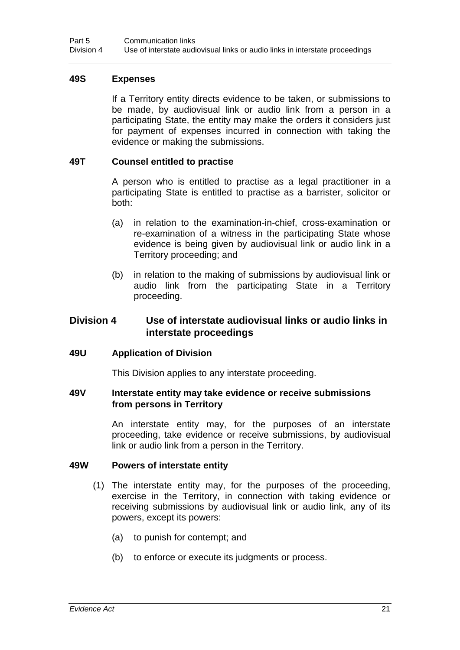#### **49S Expenses**

If a Territory entity directs evidence to be taken, or submissions to be made, by audiovisual link or audio link from a person in a participating State, the entity may make the orders it considers just for payment of expenses incurred in connection with taking the evidence or making the submissions.

#### **49T Counsel entitled to practise**

A person who is entitled to practise as a legal practitioner in a participating State is entitled to practise as a barrister, solicitor or both:

- (a) in relation to the examination-in-chief, cross-examination or re-examination of a witness in the participating State whose evidence is being given by audiovisual link or audio link in a Territory proceeding; and
- (b) in relation to the making of submissions by audiovisual link or audio link from the participating State in a Territory proceeding.

#### **Division 4 Use of interstate audiovisual links or audio links in interstate proceedings**

#### **49U Application of Division**

This Division applies to any interstate proceeding.

#### **49V Interstate entity may take evidence or receive submissions from persons in Territory**

An interstate entity may, for the purposes of an interstate proceeding, take evidence or receive submissions, by audiovisual link or audio link from a person in the Territory.

#### **49W Powers of interstate entity**

- (1) The interstate entity may, for the purposes of the proceeding, exercise in the Territory, in connection with taking evidence or receiving submissions by audiovisual link or audio link, any of its powers, except its powers:
	- (a) to punish for contempt; and
	- (b) to enforce or execute its judgments or process.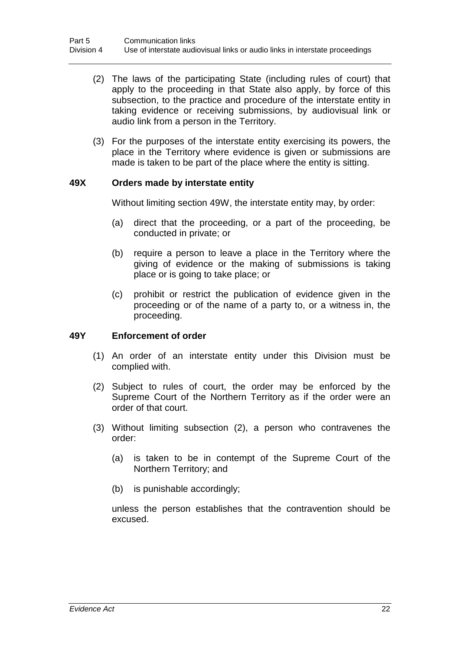- (2) The laws of the participating State (including rules of court) that apply to the proceeding in that State also apply, by force of this subsection, to the practice and procedure of the interstate entity in taking evidence or receiving submissions, by audiovisual link or audio link from a person in the Territory.
- (3) For the purposes of the interstate entity exercising its powers, the place in the Territory where evidence is given or submissions are made is taken to be part of the place where the entity is sitting.

#### **49X Orders made by interstate entity**

Without limiting section 49W, the interstate entity may, by order:

- (a) direct that the proceeding, or a part of the proceeding, be conducted in private; or
- (b) require a person to leave a place in the Territory where the giving of evidence or the making of submissions is taking place or is going to take place; or
- (c) prohibit or restrict the publication of evidence given in the proceeding or of the name of a party to, or a witness in, the proceeding.

#### **49Y Enforcement of order**

- (1) An order of an interstate entity under this Division must be complied with.
- (2) Subject to rules of court, the order may be enforced by the Supreme Court of the Northern Territory as if the order were an order of that court.
- (3) Without limiting subsection (2), a person who contravenes the order:
	- (a) is taken to be in contempt of the Supreme Court of the Northern Territory; and
	- (b) is punishable accordingly;

unless the person establishes that the contravention should be excused.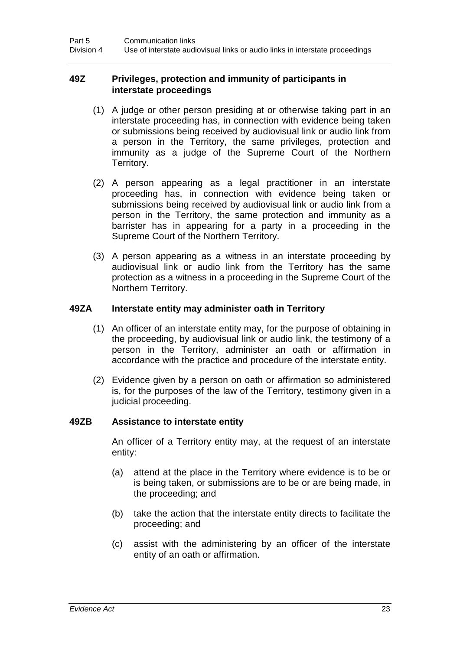#### **49Z Privileges, protection and immunity of participants in interstate proceedings**

- (1) A judge or other person presiding at or otherwise taking part in an interstate proceeding has, in connection with evidence being taken or submissions being received by audiovisual link or audio link from a person in the Territory, the same privileges, protection and immunity as a judge of the Supreme Court of the Northern Territory.
- (2) A person appearing as a legal practitioner in an interstate proceeding has, in connection with evidence being taken or submissions being received by audiovisual link or audio link from a person in the Territory, the same protection and immunity as a barrister has in appearing for a party in a proceeding in the Supreme Court of the Northern Territory.
- (3) A person appearing as a witness in an interstate proceeding by audiovisual link or audio link from the Territory has the same protection as a witness in a proceeding in the Supreme Court of the Northern Territory.

#### **49ZA Interstate entity may administer oath in Territory**

- (1) An officer of an interstate entity may, for the purpose of obtaining in the proceeding, by audiovisual link or audio link, the testimony of a person in the Territory, administer an oath or affirmation in accordance with the practice and procedure of the interstate entity.
- (2) Evidence given by a person on oath or affirmation so administered is, for the purposes of the law of the Territory, testimony given in a judicial proceeding.

#### **49ZB Assistance to interstate entity**

An officer of a Territory entity may, at the request of an interstate entity:

- (a) attend at the place in the Territory where evidence is to be or is being taken, or submissions are to be or are being made, in the proceeding; and
- (b) take the action that the interstate entity directs to facilitate the proceeding; and
- (c) assist with the administering by an officer of the interstate entity of an oath or affirmation.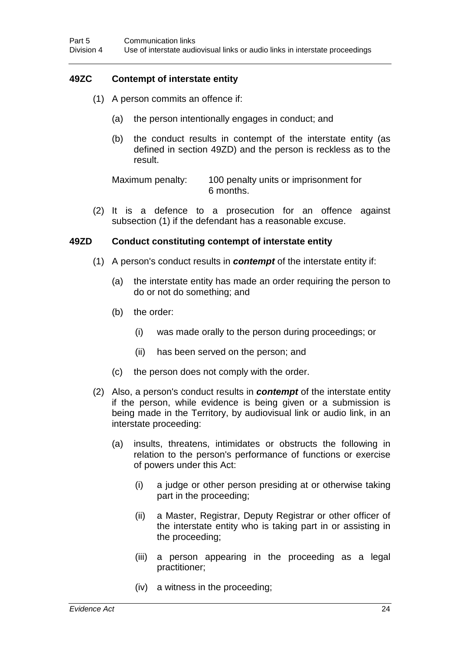## **49ZC Contempt of interstate entity**

- (1) A person commits an offence if:
	- (a) the person intentionally engages in conduct; and
	- (b) the conduct results in contempt of the interstate entity (as defined in section 49ZD) and the person is reckless as to the result.

Maximum penalty: 100 penalty units or imprisonment for 6 months.

(2) It is a defence to a prosecution for an offence against subsection (1) if the defendant has a reasonable excuse.

#### **49ZD Conduct constituting contempt of interstate entity**

- (1) A person's conduct results in *contempt* of the interstate entity if:
	- (a) the interstate entity has made an order requiring the person to do or not do something; and
	- (b) the order:
		- (i) was made orally to the person during proceedings; or
		- (ii) has been served on the person; and
	- (c) the person does not comply with the order.
- (2) Also, a person's conduct results in *contempt* of the interstate entity if the person, while evidence is being given or a submission is being made in the Territory, by audiovisual link or audio link, in an interstate proceeding:
	- (a) insults, threatens, intimidates or obstructs the following in relation to the person's performance of functions or exercise of powers under this Act:
		- (i) a judge or other person presiding at or otherwise taking part in the proceeding;
		- (ii) a Master, Registrar, Deputy Registrar or other officer of the interstate entity who is taking part in or assisting in the proceeding;
		- (iii) a person appearing in the proceeding as a legal practitioner;
		- (iv) a witness in the proceeding;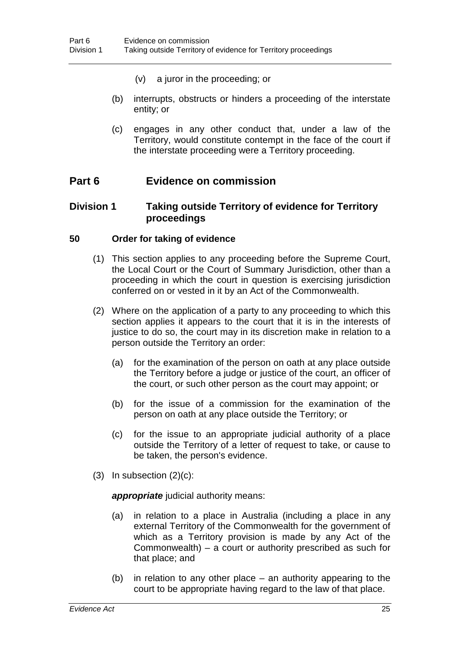- (v) a juror in the proceeding; or
- (b) interrupts, obstructs or hinders a proceeding of the interstate entity; or
- (c) engages in any other conduct that, under a law of the Territory, would constitute contempt in the face of the court if the interstate proceeding were a Territory proceeding.

## **Part 6 Evidence on commission**

#### **Division 1 Taking outside Territory of evidence for Territory proceedings**

#### **50 Order for taking of evidence**

- (1) This section applies to any proceeding before the Supreme Court, the Local Court or the Court of Summary Jurisdiction, other than a proceeding in which the court in question is exercising jurisdiction conferred on or vested in it by an Act of the Commonwealth.
- (2) Where on the application of a party to any proceeding to which this section applies it appears to the court that it is in the interests of justice to do so, the court may in its discretion make in relation to a person outside the Territory an order:
	- (a) for the examination of the person on oath at any place outside the Territory before a judge or justice of the court, an officer of the court, or such other person as the court may appoint; or
	- (b) for the issue of a commission for the examination of the person on oath at any place outside the Territory; or
	- (c) for the issue to an appropriate judicial authority of a place outside the Territory of a letter of request to take, or cause to be taken, the person's evidence.
- $(3)$  In subsection  $(2)(c)$ :

*appropriate* judicial authority means:

- (a) in relation to a place in Australia (including a place in any external Territory of the Commonwealth for the government of which as a Territory provision is made by any Act of the Commonwealth) – a court or authority prescribed as such for that place; and
- (b) in relation to any other place an authority appearing to the court to be appropriate having regard to the law of that place.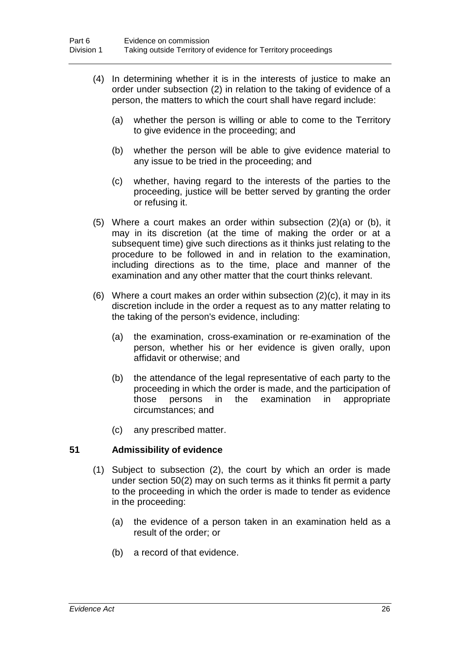- (4) In determining whether it is in the interests of justice to make an order under subsection (2) in relation to the taking of evidence of a person, the matters to which the court shall have regard include:
	- (a) whether the person is willing or able to come to the Territory to give evidence in the proceeding; and
	- (b) whether the person will be able to give evidence material to any issue to be tried in the proceeding; and
	- (c) whether, having regard to the interests of the parties to the proceeding, justice will be better served by granting the order or refusing it.
- (5) Where a court makes an order within subsection (2)(a) or (b), it may in its discretion (at the time of making the order or at a subsequent time) give such directions as it thinks just relating to the procedure to be followed in and in relation to the examination, including directions as to the time, place and manner of the examination and any other matter that the court thinks relevant.
- (6) Where a court makes an order within subsection  $(2)(c)$ , it may in its discretion include in the order a request as to any matter relating to the taking of the person's evidence, including:
	- (a) the examination, cross-examination or re-examination of the person, whether his or her evidence is given orally, upon affidavit or otherwise; and
	- (b) the attendance of the legal representative of each party to the proceeding in which the order is made, and the participation of those persons in the examination in appropriate circumstances; and
	- (c) any prescribed matter.

#### **51 Admissibility of evidence**

- (1) Subject to subsection (2), the court by which an order is made under section 50(2) may on such terms as it thinks fit permit a party to the proceeding in which the order is made to tender as evidence in the proceeding:
	- (a) the evidence of a person taken in an examination held as a result of the order; or
	- (b) a record of that evidence.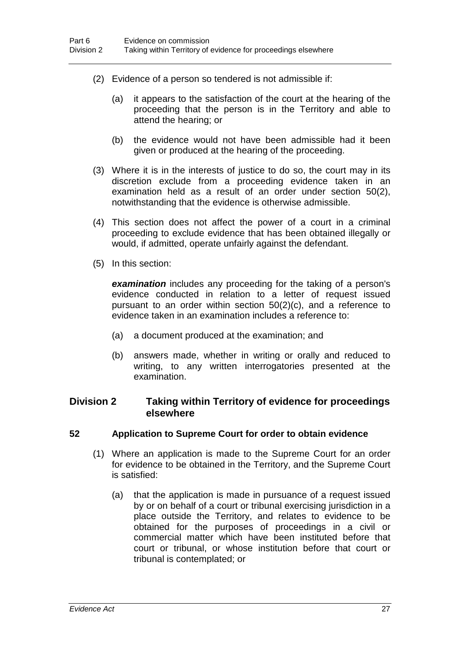- (2) Evidence of a person so tendered is not admissible if:
	- (a) it appears to the satisfaction of the court at the hearing of the proceeding that the person is in the Territory and able to attend the hearing; or
	- (b) the evidence would not have been admissible had it been given or produced at the hearing of the proceeding.
- (3) Where it is in the interests of justice to do so, the court may in its discretion exclude from a proceeding evidence taken in an examination held as a result of an order under section 50(2), notwithstanding that the evidence is otherwise admissible.
- (4) This section does not affect the power of a court in a criminal proceeding to exclude evidence that has been obtained illegally or would, if admitted, operate unfairly against the defendant.
- (5) In this section:

*examination* includes any proceeding for the taking of a person's evidence conducted in relation to a letter of request issued pursuant to an order within section 50(2)(c), and a reference to evidence taken in an examination includes a reference to:

- (a) a document produced at the examination; and
- (b) answers made, whether in writing or orally and reduced to writing, to any written interrogatories presented at the examination.

## **Division 2 Taking within Territory of evidence for proceedings elsewhere**

#### **52 Application to Supreme Court for order to obtain evidence**

- (1) Where an application is made to the Supreme Court for an order for evidence to be obtained in the Territory, and the Supreme Court is satisfied:
	- (a) that the application is made in pursuance of a request issued by or on behalf of a court or tribunal exercising jurisdiction in a place outside the Territory, and relates to evidence to be obtained for the purposes of proceedings in a civil or commercial matter which have been instituted before that court or tribunal, or whose institution before that court or tribunal is contemplated; or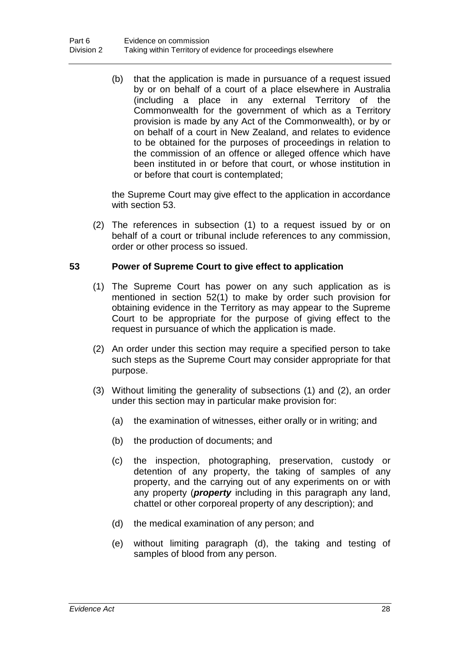(b) that the application is made in pursuance of a request issued by or on behalf of a court of a place elsewhere in Australia (including a place in any external Territory of the Commonwealth for the government of which as a Territory provision is made by any Act of the Commonwealth), or by or on behalf of a court in New Zealand, and relates to evidence to be obtained for the purposes of proceedings in relation to the commission of an offence or alleged offence which have been instituted in or before that court, or whose institution in or before that court is contemplated;

the Supreme Court may give effect to the application in accordance with section 53.

(2) The references in subsection (1) to a request issued by or on behalf of a court or tribunal include references to any commission, order or other process so issued.

#### **53 Power of Supreme Court to give effect to application**

- (1) The Supreme Court has power on any such application as is mentioned in section 52(1) to make by order such provision for obtaining evidence in the Territory as may appear to the Supreme Court to be appropriate for the purpose of giving effect to the request in pursuance of which the application is made.
- (2) An order under this section may require a specified person to take such steps as the Supreme Court may consider appropriate for that purpose.
- (3) Without limiting the generality of subsections (1) and (2), an order under this section may in particular make provision for:
	- (a) the examination of witnesses, either orally or in writing; and
	- (b) the production of documents; and
	- (c) the inspection, photographing, preservation, custody or detention of any property, the taking of samples of any property, and the carrying out of any experiments on or with any property (*property* including in this paragraph any land, chattel or other corporeal property of any description); and
	- (d) the medical examination of any person; and
	- (e) without limiting paragraph (d), the taking and testing of samples of blood from any person.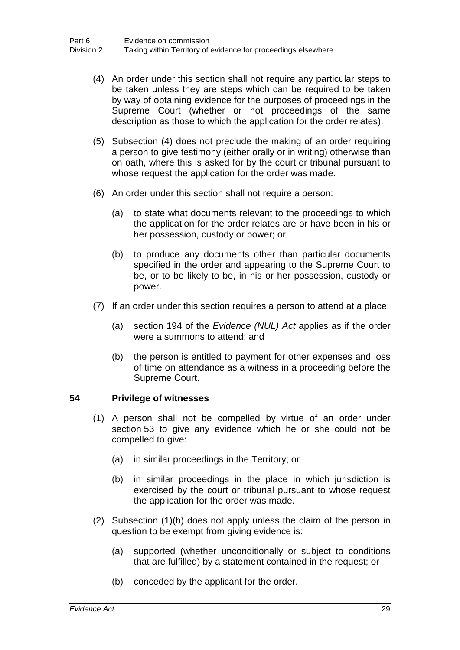- (4) An order under this section shall not require any particular steps to be taken unless they are steps which can be required to be taken by way of obtaining evidence for the purposes of proceedings in the Supreme Court (whether or not proceedings of the same description as those to which the application for the order relates).
- (5) Subsection (4) does not preclude the making of an order requiring a person to give testimony (either orally or in writing) otherwise than on oath, where this is asked for by the court or tribunal pursuant to whose request the application for the order was made.
- (6) An order under this section shall not require a person:
	- (a) to state what documents relevant to the proceedings to which the application for the order relates are or have been in his or her possession, custody or power; or
	- (b) to produce any documents other than particular documents specified in the order and appearing to the Supreme Court to be, or to be likely to be, in his or her possession, custody or power.
- (7) If an order under this section requires a person to attend at a place:
	- (a) section 194 of the *Evidence (NUL) Act* applies as if the order were a summons to attend; and
	- (b) the person is entitled to payment for other expenses and loss of time on attendance as a witness in a proceeding before the Supreme Court.

#### **54 Privilege of witnesses**

- (1) A person shall not be compelled by virtue of an order under section 53 to give any evidence which he or she could not be compelled to give:
	- (a) in similar proceedings in the Territory; or
	- (b) in similar proceedings in the place in which jurisdiction is exercised by the court or tribunal pursuant to whose request the application for the order was made.
- (2) Subsection (1)(b) does not apply unless the claim of the person in question to be exempt from giving evidence is:
	- (a) supported (whether unconditionally or subject to conditions that are fulfilled) by a statement contained in the request; or
	- (b) conceded by the applicant for the order.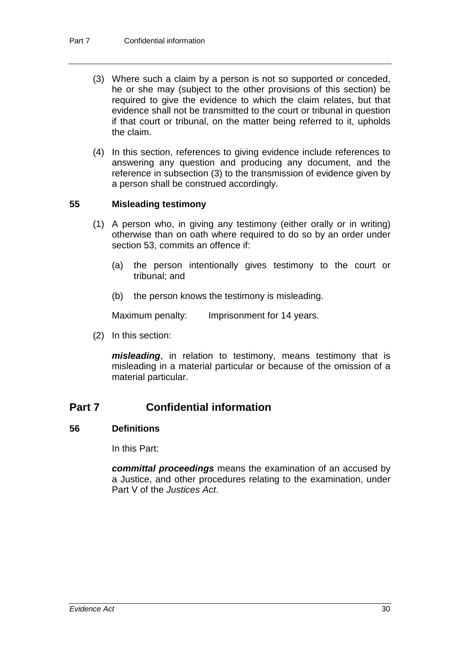- (3) Where such a claim by a person is not so supported or conceded, he or she may (subject to the other provisions of this section) be required to give the evidence to which the claim relates, but that evidence shall not be transmitted to the court or tribunal in question if that court or tribunal, on the matter being referred to it, upholds the claim.
- (4) In this section, references to giving evidence include references to answering any question and producing any document, and the reference in subsection (3) to the transmission of evidence given by a person shall be construed accordingly.

#### **55 Misleading testimony**

- (1) A person who, in giving any testimony (either orally or in writing) otherwise than on oath where required to do so by an order under section 53, commits an offence if:
	- (a) the person intentionally gives testimony to the court or tribunal; and
	- (b) the person knows the testimony is misleading.

Maximum penalty: Imprisonment for 14 years.

(2) In this section:

*misleading*, in relation to testimony, means testimony that is misleading in a material particular or because of the omission of a material particular.

# **Part 7 Confidential information**

#### **56 Definitions**

In this Part:

*committal proceedings* means the examination of an accused by a Justice, and other procedures relating to the examination, under Part V of the *Justices Act*.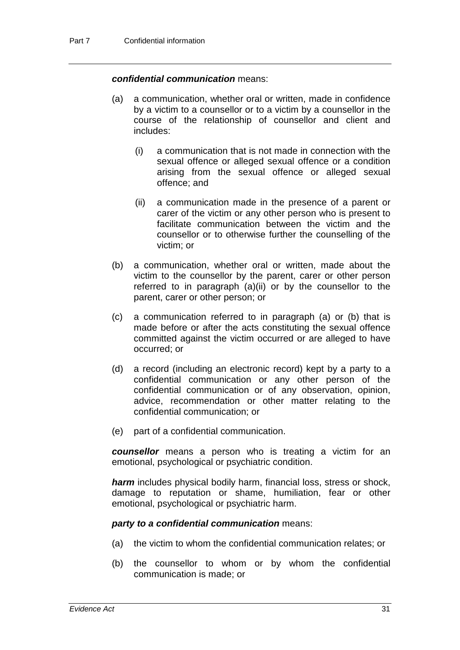#### *confidential communication* means:

- (a) a communication, whether oral or written, made in confidence by a victim to a counsellor or to a victim by a counsellor in the course of the relationship of counsellor and client and includes:
	- (i) a communication that is not made in connection with the sexual offence or alleged sexual offence or a condition arising from the sexual offence or alleged sexual offence; and
	- (ii) a communication made in the presence of a parent or carer of the victim or any other person who is present to facilitate communication between the victim and the counsellor or to otherwise further the counselling of the victim; or
- (b) a communication, whether oral or written, made about the victim to the counsellor by the parent, carer or other person referred to in paragraph (a)(ii) or by the counsellor to the parent, carer or other person; or
- (c) a communication referred to in paragraph (a) or (b) that is made before or after the acts constituting the sexual offence committed against the victim occurred or are alleged to have occurred; or
- (d) a record (including an electronic record) kept by a party to a confidential communication or any other person of the confidential communication or of any observation, opinion, advice, recommendation or other matter relating to the confidential communication; or
- (e) part of a confidential communication.

*counsellor* means a person who is treating a victim for an emotional, psychological or psychiatric condition.

*harm* includes physical bodily harm, financial loss, stress or shock, damage to reputation or shame, humiliation, fear or other emotional, psychological or psychiatric harm.

#### *party to a confidential communication* means:

- (a) the victim to whom the confidential communication relates; or
- (b) the counsellor to whom or by whom the confidential communication is made; or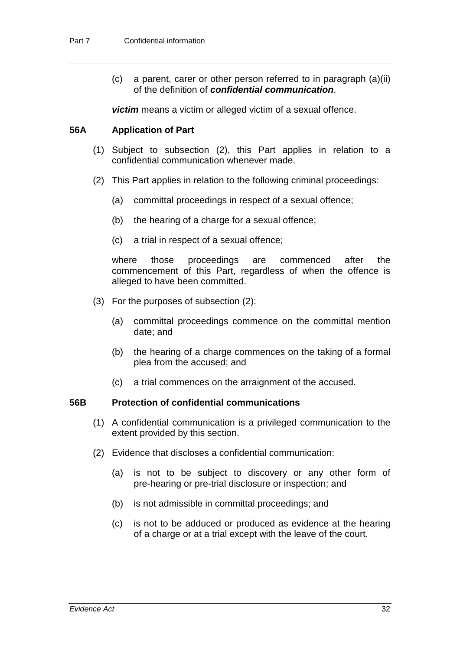(c) a parent, carer or other person referred to in paragraph (a)(ii) of the definition of *confidential communication*.

*victim* means a victim or alleged victim of a sexual offence.

#### **56A Application of Part**

- (1) Subject to subsection (2), this Part applies in relation to a confidential communication whenever made.
- (2) This Part applies in relation to the following criminal proceedings:
	- (a) committal proceedings in respect of a sexual offence;
	- (b) the hearing of a charge for a sexual offence;
	- (c) a trial in respect of a sexual offence;

where those proceedings are commenced after the commencement of this Part, regardless of when the offence is alleged to have been committed.

- (3) For the purposes of subsection (2):
	- (a) committal proceedings commence on the committal mention date; and
	- (b) the hearing of a charge commences on the taking of a formal plea from the accused; and
	- (c) a trial commences on the arraignment of the accused.

#### **56B Protection of confidential communications**

- (1) A confidential communication is a privileged communication to the extent provided by this section.
- (2) Evidence that discloses a confidential communication:
	- (a) is not to be subject to discovery or any other form of pre-hearing or pre-trial disclosure or inspection; and
	- (b) is not admissible in committal proceedings; and
	- (c) is not to be adduced or produced as evidence at the hearing of a charge or at a trial except with the leave of the court.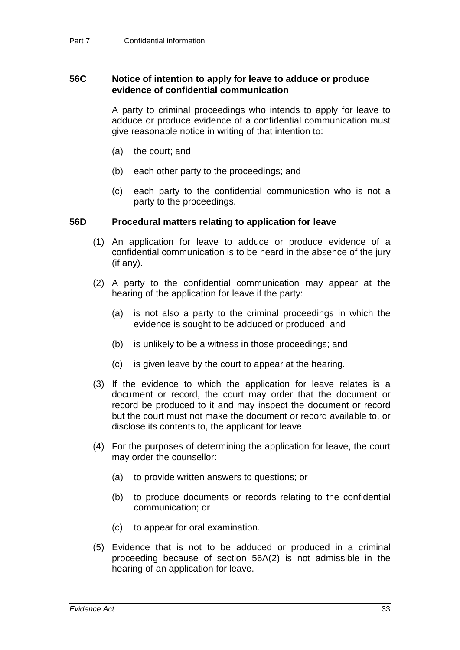#### **56C Notice of intention to apply for leave to adduce or produce evidence of confidential communication**

A party to criminal proceedings who intends to apply for leave to adduce or produce evidence of a confidential communication must give reasonable notice in writing of that intention to:

- (a) the court; and
- (b) each other party to the proceedings; and
- (c) each party to the confidential communication who is not a party to the proceedings.

#### **56D Procedural matters relating to application for leave**

- (1) An application for leave to adduce or produce evidence of a confidential communication is to be heard in the absence of the jury (if any).
- (2) A party to the confidential communication may appear at the hearing of the application for leave if the party:
	- (a) is not also a party to the criminal proceedings in which the evidence is sought to be adduced or produced; and
	- (b) is unlikely to be a witness in those proceedings; and
	- (c) is given leave by the court to appear at the hearing.
- (3) If the evidence to which the application for leave relates is a document or record, the court may order that the document or record be produced to it and may inspect the document or record but the court must not make the document or record available to, or disclose its contents to, the applicant for leave.
- (4) For the purposes of determining the application for leave, the court may order the counsellor:
	- (a) to provide written answers to questions; or
	- (b) to produce documents or records relating to the confidential communication; or
	- (c) to appear for oral examination.
- (5) Evidence that is not to be adduced or produced in a criminal proceeding because of section 56A(2) is not admissible in the hearing of an application for leave.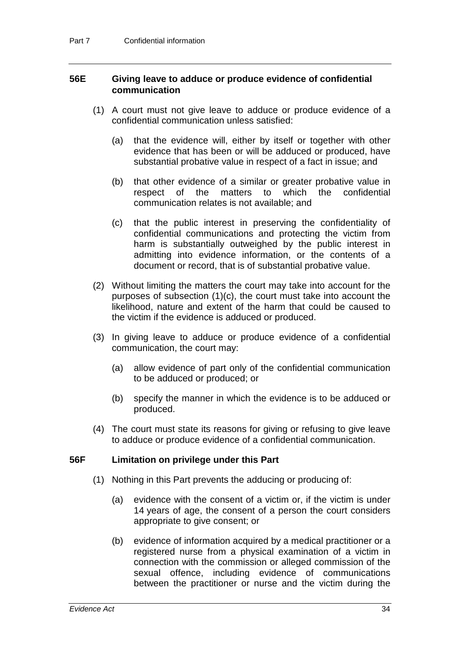#### **56E Giving leave to adduce or produce evidence of confidential communication**

- (1) A court must not give leave to adduce or produce evidence of a confidential communication unless satisfied:
	- (a) that the evidence will, either by itself or together with other evidence that has been or will be adduced or produced, have substantial probative value in respect of a fact in issue; and
	- (b) that other evidence of a similar or greater probative value in<br>respect of the matters to which the confidential respect of the matters communication relates is not available; and
	- (c) that the public interest in preserving the confidentiality of confidential communications and protecting the victim from harm is substantially outweighed by the public interest in admitting into evidence information, or the contents of a document or record, that is of substantial probative value.
- (2) Without limiting the matters the court may take into account for the purposes of subsection (1)(c), the court must take into account the likelihood, nature and extent of the harm that could be caused to the victim if the evidence is adduced or produced.
- (3) In giving leave to adduce or produce evidence of a confidential communication, the court may:
	- (a) allow evidence of part only of the confidential communication to be adduced or produced; or
	- (b) specify the manner in which the evidence is to be adduced or produced.
- (4) The court must state its reasons for giving or refusing to give leave to adduce or produce evidence of a confidential communication.

#### **56F Limitation on privilege under this Part**

- (1) Nothing in this Part prevents the adducing or producing of:
	- (a) evidence with the consent of a victim or, if the victim is under 14 years of age, the consent of a person the court considers appropriate to give consent; or
	- (b) evidence of information acquired by a medical practitioner or a registered nurse from a physical examination of a victim in connection with the commission or alleged commission of the sexual offence, including evidence of communications between the practitioner or nurse and the victim during the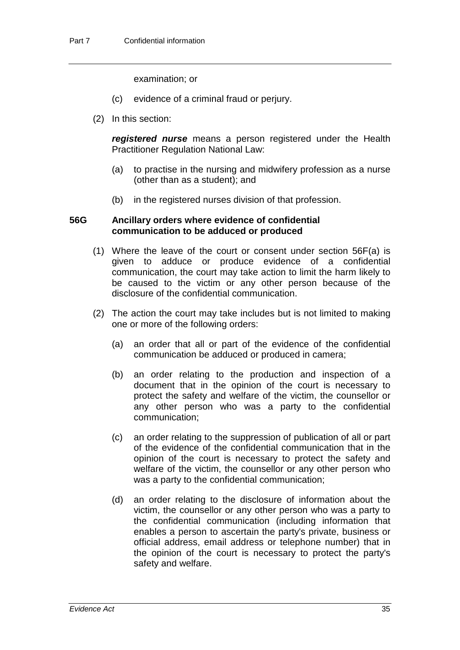examination; or

- (c) evidence of a criminal fraud or perjury.
- (2) In this section:

*registered nurse* means a person registered under the Health Practitioner Regulation National Law:

- (a) to practise in the nursing and midwifery profession as a nurse (other than as a student); and
- (b) in the registered nurses division of that profession.

#### **56G Ancillary orders where evidence of confidential communication to be adduced or produced**

- (1) Where the leave of the court or consent under section 56F(a) is given to adduce or produce evidence of a confidential communication, the court may take action to limit the harm likely to be caused to the victim or any other person because of the disclosure of the confidential communication.
- (2) The action the court may take includes but is not limited to making one or more of the following orders:
	- (a) an order that all or part of the evidence of the confidential communication be adduced or produced in camera;
	- (b) an order relating to the production and inspection of a document that in the opinion of the court is necessary to protect the safety and welfare of the victim, the counsellor or any other person who was a party to the confidential communication;
	- (c) an order relating to the suppression of publication of all or part of the evidence of the confidential communication that in the opinion of the court is necessary to protect the safety and welfare of the victim, the counsellor or any other person who was a party to the confidential communication;
	- (d) an order relating to the disclosure of information about the victim, the counsellor or any other person who was a party to the confidential communication (including information that enables a person to ascertain the party's private, business or official address, email address or telephone number) that in the opinion of the court is necessary to protect the party's safety and welfare.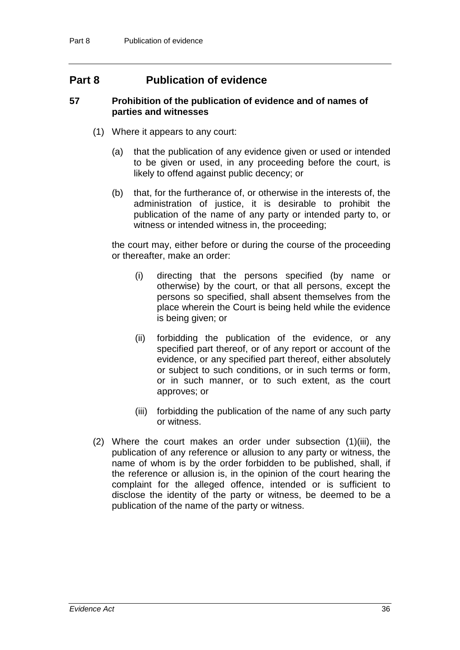# **Part 8 Publication of evidence**

#### **57 Prohibition of the publication of evidence and of names of parties and witnesses**

- (1) Where it appears to any court:
	- (a) that the publication of any evidence given or used or intended to be given or used, in any proceeding before the court, is likely to offend against public decency; or
	- (b) that, for the furtherance of, or otherwise in the interests of, the administration of justice, it is desirable to prohibit the publication of the name of any party or intended party to, or witness or intended witness in, the proceeding;

the court may, either before or during the course of the proceeding or thereafter, make an order:

- (i) directing that the persons specified (by name or otherwise) by the court, or that all persons, except the persons so specified, shall absent themselves from the place wherein the Court is being held while the evidence is being given; or
- (ii) forbidding the publication of the evidence, or any specified part thereof, or of any report or account of the evidence, or any specified part thereof, either absolutely or subject to such conditions, or in such terms or form, or in such manner, or to such extent, as the court approves; or
- (iii) forbidding the publication of the name of any such party or witness.
- (2) Where the court makes an order under subsection (1)(iii), the publication of any reference or allusion to any party or witness, the name of whom is by the order forbidden to be published, shall, if the reference or allusion is, in the opinion of the court hearing the complaint for the alleged offence, intended or is sufficient to disclose the identity of the party or witness, be deemed to be a publication of the name of the party or witness.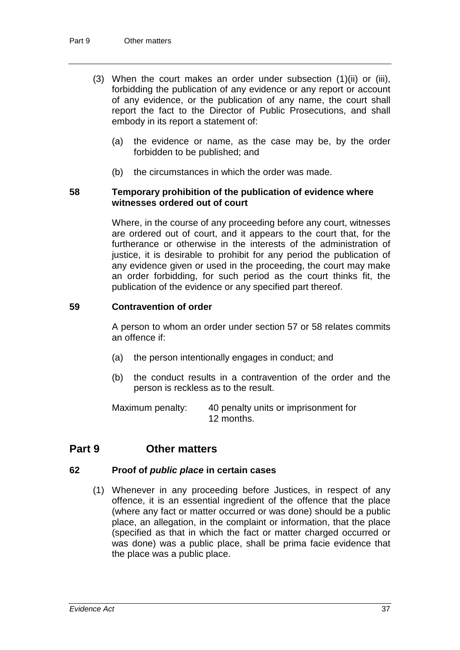- (3) When the court makes an order under subsection (1)(ii) or (iii), forbidding the publication of any evidence or any report or account of any evidence, or the publication of any name, the court shall report the fact to the Director of Public Prosecutions, and shall embody in its report a statement of:
	- (a) the evidence or name, as the case may be, by the order forbidden to be published; and
	- (b) the circumstances in which the order was made.

#### **58 Temporary prohibition of the publication of evidence where witnesses ordered out of court**

Where, in the course of any proceeding before any court, witnesses are ordered out of court, and it appears to the court that, for the furtherance or otherwise in the interests of the administration of justice, it is desirable to prohibit for any period the publication of any evidence given or used in the proceeding, the court may make an order forbidding, for such period as the court thinks fit, the publication of the evidence or any specified part thereof.

#### **59 Contravention of order**

A person to whom an order under section 57 or 58 relates commits an offence if:

- (a) the person intentionally engages in conduct; and
- (b) the conduct results in a contravention of the order and the person is reckless as to the result.

Maximum penalty: 40 penalty units or imprisonment for 12 months.

# **Part 9 Other matters**

#### **62 Proof of** *public place* **in certain cases**

(1) Whenever in any proceeding before Justices, in respect of any offence, it is an essential ingredient of the offence that the place (where any fact or matter occurred or was done) should be a public place, an allegation, in the complaint or information, that the place (specified as that in which the fact or matter charged occurred or was done) was a public place, shall be prima facie evidence that the place was a public place.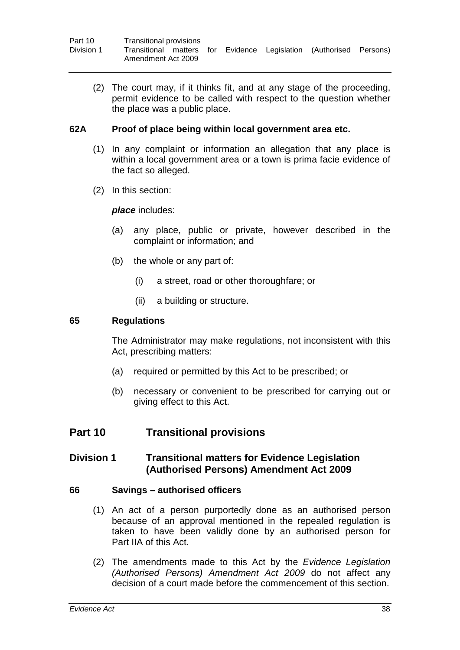| Part 10    | Transitional provisions |  |  |                                                                    |  |
|------------|-------------------------|--|--|--------------------------------------------------------------------|--|
| Division 1 | Amendment Act 2009      |  |  | Transitional matters for Evidence Legislation (Authorised Persons) |  |

(2) The court may, if it thinks fit, and at any stage of the proceeding, permit evidence to be called with respect to the question whether the place was a public place.

#### **62A Proof of place being within local government area etc.**

- (1) In any complaint or information an allegation that any place is within a local government area or a town is prima facie evidence of the fact so alleged.
- (2) In this section:

#### *place* includes:

- (a) any place, public or private, however described in the complaint or information; and
- (b) the whole or any part of:
	- (i) a street, road or other thoroughfare; or
	- (ii) a building or structure.

#### **65 Regulations**

The Administrator may make regulations, not inconsistent with this Act, prescribing matters:

- (a) required or permitted by this Act to be prescribed; or
- (b) necessary or convenient to be prescribed for carrying out or giving effect to this Act.

# **Part 10 Transitional provisions**

#### **Division 1 Transitional matters for Evidence Legislation (Authorised Persons) Amendment Act 2009**

#### **66 Savings – authorised officers**

- (1) An act of a person purportedly done as an authorised person because of an approval mentioned in the repealed regulation is taken to have been validly done by an authorised person for Part IIA of this Act.
- (2) The amendments made to this Act by the *Evidence Legislation (Authorised Persons) Amendment Act 2009* do not affect any decision of a court made before the commencement of this section.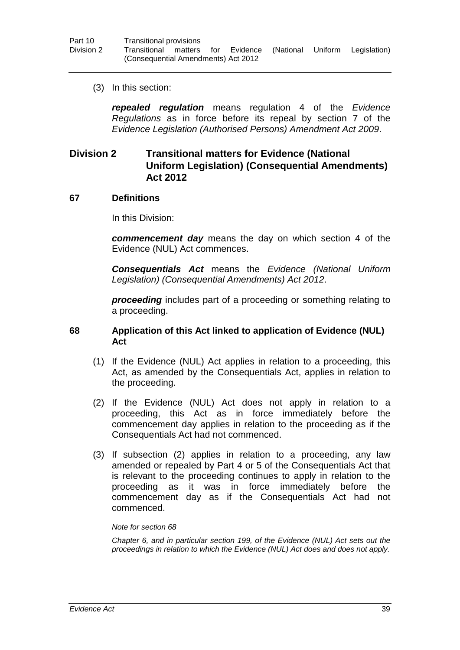(3) In this section:

*repealed regulation* means regulation 4 of the *Evidence Regulations* as in force before its repeal by section 7 of the *Evidence Legislation (Authorised Persons) Amendment Act 2009*.

# **Division 2 Transitional matters for Evidence (National Uniform Legislation) (Consequential Amendments) Act 2012**

#### **67 Definitions**

In this Division:

*commencement day* means the day on which section 4 of the Evidence (NUL) Act commences.

*Consequentials Act* means the *Evidence (National Uniform Legislation) (Consequential Amendments) Act 2012*.

*proceeding* includes part of a proceeding or something relating to a proceeding.

#### **68 Application of this Act linked to application of Evidence (NUL) Act**

- (1) If the Evidence (NUL) Act applies in relation to a proceeding, this Act, as amended by the Consequentials Act, applies in relation to the proceeding.
- (2) If the Evidence (NUL) Act does not apply in relation to a proceeding, this Act as in force immediately before the commencement day applies in relation to the proceeding as if the Consequentials Act had not commenced.
- (3) If subsection (2) applies in relation to a proceeding, any law amended or repealed by Part 4 or 5 of the Consequentials Act that is relevant to the proceeding continues to apply in relation to the proceeding as it was in force immediately before the commencement day as if the Consequentials Act had not commenced.

#### *Note for section 68*

*Chapter 6, and in particular section 199, of the Evidence (NUL) Act sets out the proceedings in relation to which the Evidence (NUL) Act does and does not apply.*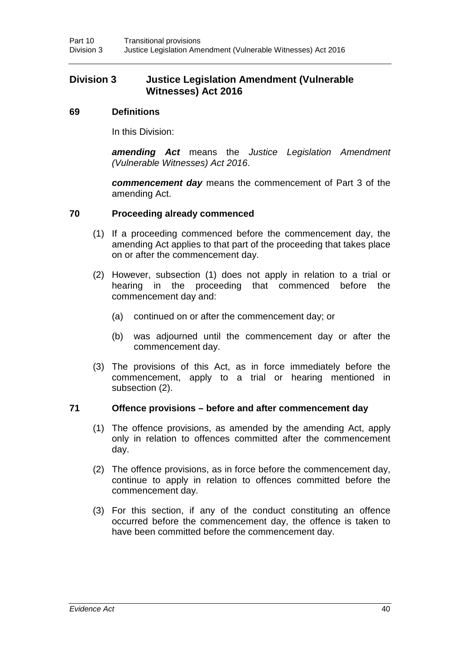# **Division 3 Justice Legislation Amendment (Vulnerable Witnesses) Act 2016**

#### **69 Definitions**

In this Division:

*amending Act* means the *Justice Legislation Amendment (Vulnerable Witnesses) Act 2016*.

*commencement day* means the commencement of Part 3 of the amending Act.

#### **70 Proceeding already commenced**

- (1) If a proceeding commenced before the commencement day, the amending Act applies to that part of the proceeding that takes place on or after the commencement day.
- (2) However, subsection (1) does not apply in relation to a trial or hearing in the proceeding that commenced before the commencement day and:
	- (a) continued on or after the commencement day; or
	- (b) was adjourned until the commencement day or after the commencement day.
- (3) The provisions of this Act, as in force immediately before the commencement, apply to a trial or hearing mentioned in subsection (2).

#### **71 Offence provisions – before and after commencement day**

- (1) The offence provisions, as amended by the amending Act, apply only in relation to offences committed after the commencement day.
- (2) The offence provisions, as in force before the commencement day, continue to apply in relation to offences committed before the commencement day.
- (3) For this section, if any of the conduct constituting an offence occurred before the commencement day, the offence is taken to have been committed before the commencement day.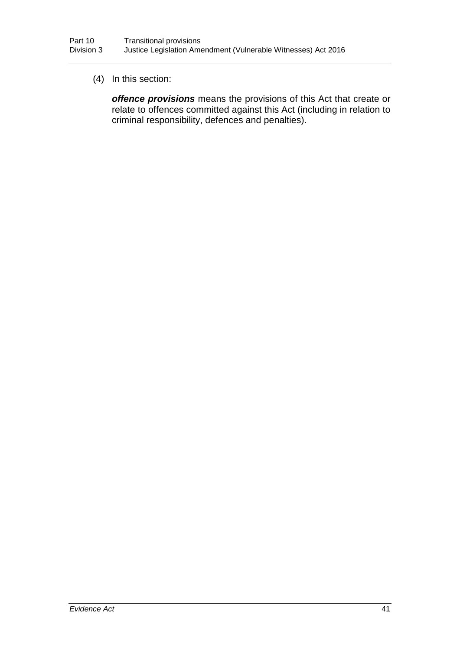#### (4) In this section:

*offence provisions* means the provisions of this Act that create or relate to offences committed against this Act (including in relation to criminal responsibility, defences and penalties).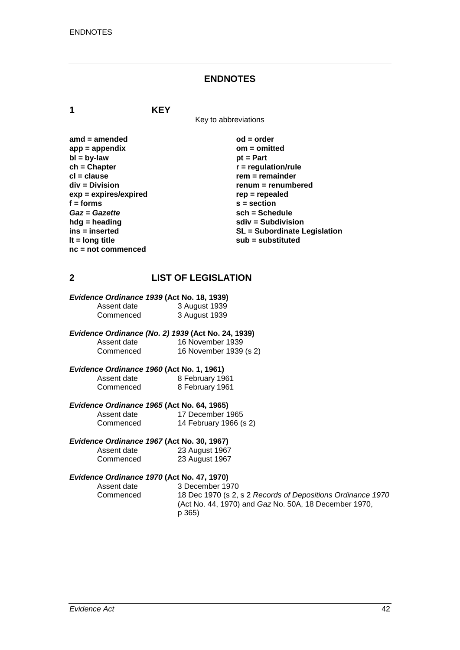#### **ENDNOTES**

**1 KEY**

Key to abbreviations

amd = amended od = order<br>
app = appendix **butch** on = omitted app = appendix<br>bl = bv-law biteday = 0 minutes = 0 minutes<br>bl = bv-law = 0 minutes **bl = by-law**<br>**ch = Chapter ch = Chapter r** = regulation/rule<br> **cl** = clause **rate regulation r** = remainder **cl = clause rem = remainder**  $exp = exp$ **ires/expired**<br>**f** = forms **f = forms s = section** *Gaz* = *Gazette* **sch** = Schedule<br>hdg = heading **sch** = Subdivision **sch** = Subdivision **hdg = heading**<br>
ins = inserted<br> **sdiv = Subdivision**<br>
SL = Subordinate L **nc = not commenced**

**renum = renumbered**<br>rep = repealed ins = inserted<br> **ins = inserted**<br> **if = long title**<br> **if = long title**<br> **if = long title**<br> **if = long title lt = long title sub = substituted**

#### **2 LIST OF LEGISLATION**

# *Evidence Ordinance 1939* **(Act No. 18, 1939)**

| Assent date | 3 August 1939 |
|-------------|---------------|
| Commenced   | 3 August 1939 |

*Evidence Ordinance (No. 2) 1939* **(Act No. 24, 1939)** Assent date 16 November 1939<br>Commenced 16 November 1939 16 November 1939 (s 2)

#### *Evidence Ordinance 1960* **(Act No. 1, 1961)** Assent date 8 February 1961<br>Commenced 8 February 1961 8 February 1961

#### *Evidence Ordinance 1965* **(Act No. 64, 1965)** Assent date 17 December 1965<br>Commenced 14 February 1966 (s 14 February 1966 (s 2)

# *Evidence Ordinance 1967* **(Act No. 30, 1967)**

| Assent date | 23 August 1967 |
|-------------|----------------|
| Commenced   | 23 August 1967 |

# *Evidence Ordinance 1970* **(Act No. 47, 1970)**

Assent date 3 December 1970<br>Commenced 18 Dec 1970 (s 2. 18 Dec 1970 (s 2, s 2 *Records of Depositions Ordinance 1970* (Act No. 44, 1970) and *Gaz* No. 50A, 18 December 1970, p 365)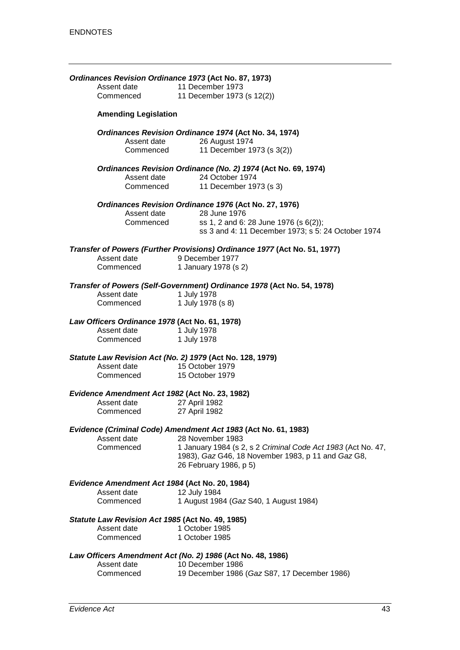| Ordinances Revision Ordinance 1973 (Act No. 87, 1973)<br>Assent date | 11 December 1973                                                                            |
|----------------------------------------------------------------------|---------------------------------------------------------------------------------------------|
| Commenced                                                            | 11 December 1973 (s 12(2))                                                                  |
| <b>Amending Legislation</b>                                          |                                                                                             |
| Assent date                                                          | Ordinances Revision Ordinance 1974 (Act No. 34, 1974)<br>26 August 1974                     |
| Commenced                                                            | 11 December 1973 (s 3(2))                                                                   |
| Assent date                                                          | Ordinances Revision Ordinance (No. 2) 1974 (Act No. 69, 1974)<br>24 October 1974            |
| Commenced                                                            | 11 December 1973 (s 3)                                                                      |
|                                                                      | Ordinances Revision Ordinance 1976 (Act No. 27, 1976)                                       |
| Assent date<br>Commenced                                             | 28 June 1976                                                                                |
|                                                                      | ss 1, 2 and 6: 28 June 1976 (s 6(2));<br>ss 3 and 4: 11 December 1973; s 5: 24 October 1974 |
|                                                                      | Transfer of Powers (Further Provisions) Ordinance 1977 (Act No. 51, 1977)                   |
| Assent date                                                          | 9 December 1977                                                                             |
| Commenced                                                            | 1 January 1978 (s 2)                                                                        |
| Assent date                                                          | Transfer of Powers (Self-Government) Ordinance 1978 (Act No. 54, 1978)<br>1 July 1978       |
| Commenced                                                            | 1 July 1978 (s 8)                                                                           |
| Law Officers Ordinance 1978 (Act No. 61, 1978)                       |                                                                                             |
| Assent date                                                          | 1 July 1978                                                                                 |
| Commenced                                                            | 1 July 1978                                                                                 |
| Statute Law Revision Act (No. 2) 1979 (Act No. 128, 1979)            |                                                                                             |
| Assent date                                                          | 15 October 1979                                                                             |
| Commenced                                                            | 15 October 1979                                                                             |
| Evidence Amendment Act 1982 (Act No. 23, 1982)<br>Assent date        | 27 April 1982                                                                               |
| Commenced                                                            | 27 April 1982                                                                               |
|                                                                      | Evidence (Criminal Code) Amendment Act 1983 (Act No. 61, 1983)                              |
| Assent date                                                          | 28 November 1983                                                                            |
| Commenced                                                            | 1 January 1984 (s 2, s 2 Criminal Code Act 1983 (Act No. 47,                                |
|                                                                      | 1983), Gaz G46, 18 November 1983, p 11 and Gaz G8,<br>26 February 1986, p 5)                |
| Evidence Amendment Act 1984 (Act No. 20, 1984)                       |                                                                                             |
| Assent date<br>Commenced                                             | 12 July 1984                                                                                |
|                                                                      | 1 August 1984 (Gaz S40, 1 August 1984)                                                      |
| Statute Law Revision Act 1985 (Act No. 49, 1985)                     |                                                                                             |
| Assent date                                                          | 1 October 1985                                                                              |
| Commenced                                                            | 1 October 1985                                                                              |
|                                                                      | Law Officers Amendment Act (No. 2) 1986 (Act No. 48, 1986)                                  |
| Assent date                                                          | 10 December 1986                                                                            |
| Commenced                                                            | 19 December 1986 (Gaz S87, 17 December 1986)                                                |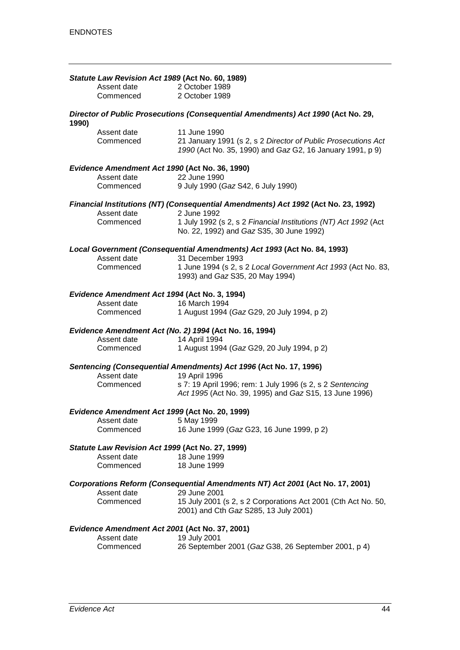|       | Statute Law Revision Act 1989 (Act No. 60, 1989)                |                                                                                                        |
|-------|-----------------------------------------------------------------|--------------------------------------------------------------------------------------------------------|
|       | Assent date                                                     | 2 October 1989                                                                                         |
|       | Commenced                                                       | 2 October 1989                                                                                         |
|       |                                                                 |                                                                                                        |
| 1990) |                                                                 | Director of Public Prosecutions (Consequential Amendments) Act 1990 (Act No. 29,                       |
|       | Assent date                                                     | 11 June 1990                                                                                           |
|       | Commenced                                                       | 21 January 1991 (s 2, s 2 Director of Public Prosecutions Act                                          |
|       |                                                                 | 1990 (Act No. 35, 1990) and Gaz G2, 16 January 1991, p 9)                                              |
|       | Evidence Amendment Act 1990 (Act No. 36, 1990)<br>Assent date   | 22 June 1990                                                                                           |
|       | Commenced                                                       | 9 July 1990 (Gaz S42, 6 July 1990)                                                                     |
|       |                                                                 |                                                                                                        |
|       | Assent date                                                     | Financial Institutions (NT) (Consequential Amendments) Act 1992 (Act No. 23, 1992)<br>2 June 1992      |
|       | Commenced                                                       | 1 July 1992 (s 2, s 2 Financial Institutions (NT) Act 1992 (Act                                        |
|       |                                                                 | No. 22, 1992) and Gaz S35, 30 June 1992)                                                               |
|       | Assent date                                                     | Local Government (Consequential Amendments) Act 1993 (Act No. 84, 1993)<br>31 December 1993            |
|       | Commenced                                                       | 1 June 1994 (s 2, s 2 Local Government Act 1993 (Act No. 83,                                           |
|       |                                                                 | 1993) and Gaz S35, 20 May 1994)                                                                        |
|       | Evidence Amendment Act 1994 (Act No. 3, 1994)<br>Assent date    | 16 March 1994                                                                                          |
|       | Commenced                                                       | 1 August 1994 (Gaz G29, 20 July 1994, p 2)                                                             |
|       |                                                                 |                                                                                                        |
|       |                                                                 | Evidence Amendment Act (No. 2) 1994 (Act No. 16, 1994)                                                 |
|       | Assent date                                                     | 14 April 1994                                                                                          |
|       | Commenced                                                       | 1 August 1994 (Gaz G29, 20 July 1994, p 2)                                                             |
|       | Assent date                                                     | Sentencing (Consequential Amendments) Act 1996 (Act No. 17, 1996)<br>19 April 1996                     |
|       | Commenced                                                       | s 7: 19 April 1996; rem: 1 July 1996 (s 2, s 2 Sentencing                                              |
|       |                                                                 | Act 1995 (Act No. 39, 1995) and Gaz S15, 13 June 1996)                                                 |
|       | Evidence Amendment Act 1999 (Act No. 20, 1999)                  |                                                                                                        |
|       | Assent date 5 May 1999                                          |                                                                                                        |
|       | Commenced                                                       | 16 June 1999 (Gaz G23, 16 June 1999, p 2)                                                              |
|       | Statute Law Revision Act 1999 (Act No. 27, 1999)<br>Assent date |                                                                                                        |
|       |                                                                 | 18 June 1999                                                                                           |
|       | Commenced                                                       | 18 June 1999                                                                                           |
|       | Assent date                                                     | Corporations Reform (Consequential Amendments NT) Act 2001 (Act No. 17, 2001)<br>29 June 2001          |
|       | Commenced                                                       |                                                                                                        |
|       |                                                                 | 15 July 2001 (s 2, s 2 Corporations Act 2001 (Cth Act No. 50,<br>2001) and Cth Gaz S285, 13 July 2001) |
|       | Evidence Amendment Act 2001 (Act No. 37, 2001)                  |                                                                                                        |
|       | Assent date                                                     | 19 July 2001                                                                                           |
|       | Commenced                                                       | 26 September 2001 (Gaz G38, 26 September 2001, p 4)                                                    |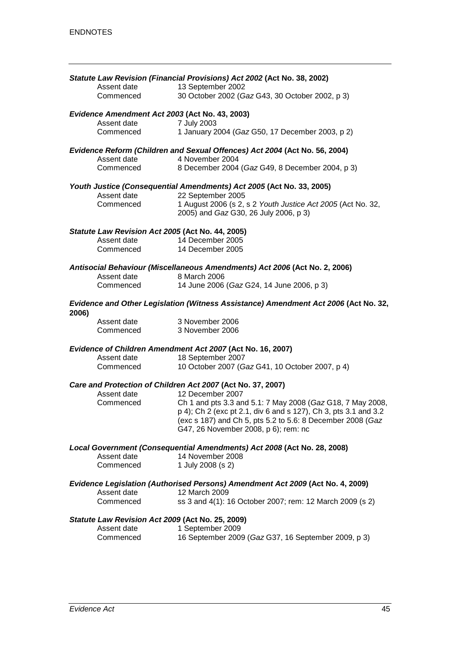|       |                                                  | Statute Law Revision (Financial Provisions) Act 2002 (Act No. 38, 2002)                                                       |
|-------|--------------------------------------------------|-------------------------------------------------------------------------------------------------------------------------------|
|       | Assent date                                      | 13 September 2002                                                                                                             |
|       | Commenced                                        | 30 October 2002 (Gaz G43, 30 October 2002, p 3)                                                                               |
|       | Evidence Amendment Act 2003 (Act No. 43, 2003)   |                                                                                                                               |
|       | Assent date                                      | 7 July 2003                                                                                                                   |
|       | Commenced                                        | 1 January 2004 (Gaz G50, 17 December 2003, p 2)                                                                               |
|       |                                                  | Evidence Reform (Children and Sexual Offences) Act 2004 (Act No. 56, 2004)                                                    |
|       | Assent date                                      | 4 November 2004                                                                                                               |
|       | Commenced                                        | 8 December 2004 (Gaz G49, 8 December 2004, p 3)                                                                               |
|       |                                                  | Youth Justice (Consequential Amendments) Act 2005 (Act No. 33, 2005)                                                          |
|       | Assent date                                      | 22 September 2005                                                                                                             |
|       | Commenced                                        | 1 August 2006 (s 2, s 2 Youth Justice Act 2005 (Act No. 32,<br>2005) and Gaz G30, 26 July 2006, p 3)                          |
|       | Statute Law Revision Act 2005 (Act No. 44, 2005) |                                                                                                                               |
|       | Assent date                                      | 14 December 2005                                                                                                              |
|       | Commenced                                        | 14 December 2005                                                                                                              |
|       |                                                  | Antisocial Behaviour (Miscellaneous Amendments) Act 2006 (Act No. 2, 2006)                                                    |
|       | Assent date                                      | 8 March 2006                                                                                                                  |
|       | Commenced                                        | 14 June 2006 (Gaz G24, 14 June 2006, p 3)                                                                                     |
| 2006) |                                                  | Evidence and Other Legislation (Witness Assistance) Amendment Act 2006 (Act No. 32,                                           |
|       | Assent date                                      | 3 November 2006                                                                                                               |
|       | Commenced                                        | 3 November 2006                                                                                                               |
|       |                                                  | Evidence of Children Amendment Act 2007 (Act No. 16, 2007)                                                                    |
|       | Assent date                                      | 18 September 2007                                                                                                             |
|       | Commenced                                        | 10 October 2007 (Gaz G41, 10 October 2007, p 4)                                                                               |
|       |                                                  | Care and Protection of Children Act 2007 (Act No. 37, 2007)                                                                   |
|       | Assent date                                      | 12 December 2007                                                                                                              |
|       | Commenced                                        | Ch 1 and pts 3.3 and 5.1: 7 May 2008 (Gaz G18, 7 May 2008,<br>p 4); Ch 2 (exc pt 2.1, div 6 and s 127), Ch 3, pts 3.1 and 3.2 |
|       |                                                  | (exc s 187) and Ch 5, pts 5.2 to 5.6: 8 December 2008 (Gaz                                                                    |
|       |                                                  | G47, 26 November 2008, p 6); rem: nc                                                                                          |
|       |                                                  | Local Government (Consequential Amendments) Act 2008 (Act No. 28, 2008)                                                       |
|       | Assent date                                      | 14 November 2008                                                                                                              |
|       | Commenced                                        | 1 July 2008 (s 2)                                                                                                             |
|       |                                                  | Evidence Legislation (Authorised Persons) Amendment Act 2009 (Act No. 4, 2009)                                                |
|       | Assent date                                      | 12 March 2009                                                                                                                 |
|       | Commenced                                        | ss 3 and 4(1): 16 October 2007; rem: 12 March 2009 (s 2)                                                                      |
|       | Statute Law Revision Act 2009 (Act No. 25, 2009) |                                                                                                                               |
|       | Assent date                                      | 1 September 2009                                                                                                              |
|       | Commenced                                        | 16 September 2009 (Gaz G37, 16 September 2009, p 3)                                                                           |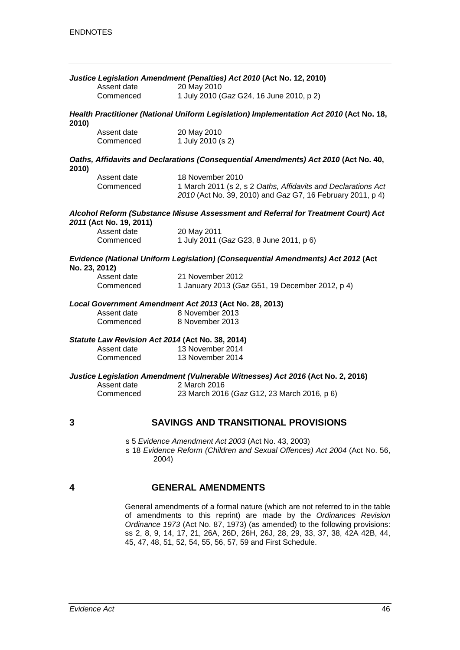|               | Assent date                                      | Justice Legislation Amendment (Penalties) Act 2010 (Act No. 12, 2010)<br>20 May 2010                                                            |
|---------------|--------------------------------------------------|-------------------------------------------------------------------------------------------------------------------------------------------------|
|               | Commenced                                        | 1 July 2010 (Gaz G24, 16 June 2010, p 2)                                                                                                        |
| 2010)         |                                                  | Health Practitioner (National Uniform Legislation) Implementation Act 2010 (Act No. 18,                                                         |
|               | Assent date<br>Commenced                         | 20 May 2010<br>1 July 2010 (s 2)                                                                                                                |
| 2010)         |                                                  | Oaths, Affidavits and Declarations (Consequential Amendments) Act 2010 (Act No. 40,                                                             |
|               | Assent date<br>Commenced                         | 18 November 2010<br>1 March 2011 (s 2, s 2 Oaths, Affidavits and Declarations Act<br>2010 (Act No. 39, 2010) and Gaz G7, 16 February 2011, p 4) |
|               | 2011 (Act No. 19, 2011)                          | Alcohol Reform (Substance Misuse Assessment and Referral for Treatment Court) Act                                                               |
|               | Assent date                                      | 20 May 2011                                                                                                                                     |
|               | Commenced                                        | 1 July 2011 (Gaz G23, 8 June 2011, p 6)                                                                                                         |
| No. 23, 2012) |                                                  | Evidence (National Uniform Legislation) (Consequential Amendments) Act 2012 (Act                                                                |
|               | Assent date                                      | 21 November 2012                                                                                                                                |
|               | Commenced                                        | 1 January 2013 (Gaz G51, 19 December 2012, p 4)                                                                                                 |
|               |                                                  | Local Government Amendment Act 2013 (Act No. 28, 2013)                                                                                          |
|               | Assent date                                      | 8 November 2013                                                                                                                                 |
|               | Commenced                                        | 8 November 2013                                                                                                                                 |
|               | Statute Law Revision Act 2014 (Act No. 38, 2014) |                                                                                                                                                 |
|               | Assent date                                      | 13 November 2014                                                                                                                                |
|               | Commenced                                        | 13 November 2014                                                                                                                                |
|               |                                                  | Justice Legislation Amendment (Vulnerable Witnesses) Act 2016 (Act No. 2, 2016)                                                                 |
|               | Assent date                                      | 2 March 2016                                                                                                                                    |
|               | Commenced                                        | 23 March 2016 (Gaz G12, 23 March 2016, p 6)                                                                                                     |
| 3             |                                                  | <b>SAVINGS AND TRANSITIONAL PROVISIONS</b>                                                                                                      |
|               | 2004)                                            | s 5 Evidence Amendment Act 2003 (Act No. 43, 2003)<br>s 18 Evidence Reform (Children and Sexual Offences) Act 2004 (Act No. 56,                 |

#### **4 GENERAL AMENDMENTS**

General amendments of a formal nature (which are not referred to in the table of amendments to this reprint) are made by the *Ordinances Revision Ordinance 1973* (Act No. 87, 1973) (as amended) to the following provisions: ss 2, 8, 9, 14, 17, 21, 26A, 26D, 26H, 26J, 28, 29, 33, 37, 38, 42A 42B, 44, 45, 47, 48, 51, 52, 54, 55, 56, 57, 59 and First Schedule.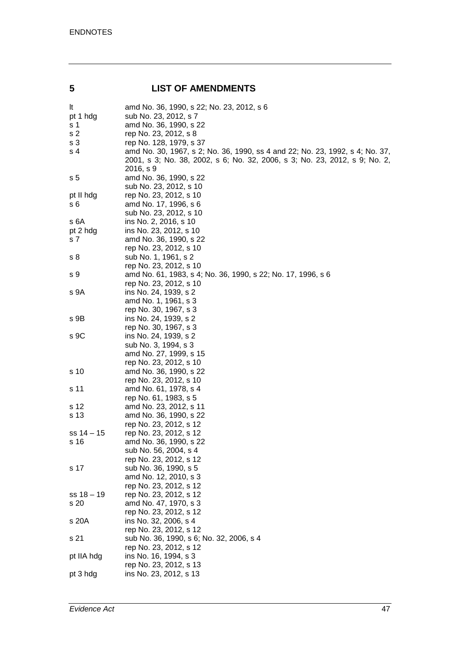#### **5 LIST OF AMENDMENTS**

| It             | amd No. 36, 1990, s 22; No. 23, 2012, s 6                                    |
|----------------|------------------------------------------------------------------------------|
| pt 1 hdg       | sub No. 23, 2012, s 7                                                        |
| s <sub>1</sub> | amd No. 36, 1990, s 22                                                       |
| s <sub>2</sub> | rep No. 23, 2012, s 8                                                        |
| s 3            | rep No. 128, 1979, s 37                                                      |
| s 4            | amd No. 30, 1967, s 2; No. 36, 1990, ss 4 and 22; No. 23, 1992, s 4; No. 37, |
|                | 2001, s 3; No. 38, 2002, s 6; No. 32, 2006, s 3; No. 23, 2012, s 9; No. 2,   |
|                | 2016, s 9                                                                    |
| s <sub>5</sub> | amd No. 36, 1990, s 22                                                       |
|                | sub No. 23, 2012, s 10                                                       |
| pt II hdg      | rep No. 23, 2012, s 10                                                       |
| s 6            | amd No. 17, 1996, s 6                                                        |
|                | sub No. 23, 2012, s 10                                                       |
| s 6A           | ins No. 2, 2016, s 10                                                        |
| pt 2 hdg       | ins No. 23, 2012, s 10                                                       |
| s <sub>7</sub> | amd No. 36, 1990, s 22                                                       |
|                | rep No. 23, 2012, s 10                                                       |
| s 8            | sub No. 1, 1961, s 2                                                         |
|                | rep No. 23, 2012, s 10                                                       |
| s 9            | amd No. 61, 1983, s 4; No. 36, 1990, s 22; No. 17, 1996, s 6                 |
|                | rep No. 23, 2012, s 10                                                       |
| s 9A           | ins No. 24, 1939, s 2                                                        |
|                | amd No. 1, 1961, s 3                                                         |
|                | rep No. 30, 1967, s 3                                                        |
| s 9B           | ins No. 24, 1939, s 2                                                        |
|                | rep No. 30, 1967, s 3                                                        |
| s 9C           | ins No. 24, 1939, s 2                                                        |
|                | sub No. 3, 1994, s 3                                                         |
|                | amd No. 27, 1999, s 15                                                       |
|                | rep No. 23, 2012, s 10                                                       |
| s 10           | amd No. 36, 1990, s 22                                                       |
|                | rep No. 23, 2012, s 10                                                       |
| s 11           | amd No. 61, 1978, s 4                                                        |
|                | rep No. 61, 1983, s 5                                                        |
| s 12           | amd No. 23, 2012, s 11                                                       |
| s 13           | amd No. 36, 1990, s 22                                                       |
|                | rep No. 23, 2012, s 12                                                       |
| ss 14 – 15     | rep No. 23, 2012, s 12                                                       |
| s 16           | amd No. 36, 1990, s 22                                                       |
|                | sub No. 56, 2004, s 4                                                        |
|                | rep No. 23, 2012, s 12                                                       |
| s 17           | sub No. 36, 1990, s 5                                                        |
|                | amd No. 12, 2010, s 3                                                        |
|                | rep No. 23, 2012, s 12                                                       |
| $ss 18 - 19$   | rep No. 23, 2012, s 12                                                       |
|                | amd No. 47, 1970, s 3                                                        |
| s 20           | rep No. 23, 2012, s 12                                                       |
|                |                                                                              |
| s 20A          | ins No. 32, 2006, s 4<br>rep No. 23, 2012, s 12                              |
|                |                                                                              |
| s 21           | sub No. 36, 1990, s 6; No. 32, 2006, s 4                                     |
|                | rep No. 23, 2012, s 12                                                       |
| pt IIA hdg     | ins No. 16, 1994, s 3                                                        |
|                | rep No. 23, 2012, s 13                                                       |
| pt 3 hdg       | ins No. 23, 2012, s 13                                                       |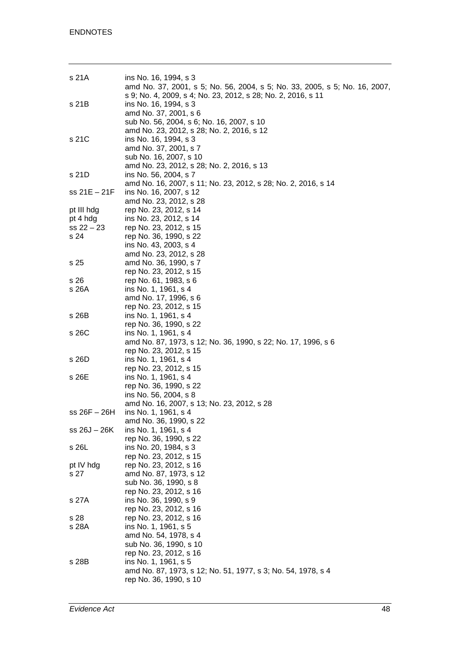| s 21A                | ins No. 16, 1994, s 3<br>amd No. 37, 2001, s 5; No. 56, 2004, s 5; No. 33, 2005, s 5; No. 16, 2007,            |
|----------------------|----------------------------------------------------------------------------------------------------------------|
| s 21B                | s 9; No. 4, 2009, s 4; No. 23, 2012, s 28; No. 2, 2016, s 11<br>ins No. 16, 1994, s 3<br>amd No. 37, 2001, s 6 |
|                      | sub No. 56, 2004, s 6; No. 16, 2007, s 10<br>amd No. 23, 2012, s 28; No. 2, 2016, s 12                         |
| s 21C                | ins No. 16, 1994, s 3<br>amd No. 37, 2001, s 7<br>sub No. 16, 2007, s 10                                       |
|                      | amd No. 23, 2012, s 28; No. 2, 2016, s 13                                                                      |
| s 21D                | ins No. 56, 2004, s 7                                                                                          |
|                      | amd No. 16, 2007, s 11; No. 23, 2012, s 28; No. 2, 2016, s 14                                                  |
| ss 21E - 21F         | ins No. 16, 2007, s 12                                                                                         |
|                      | amd No. 23, 2012, s 28                                                                                         |
| pt III hdg           | rep No. 23, 2012, s 14                                                                                         |
| pt 4 hdg             | ins No. 23, 2012, s 14                                                                                         |
| $ss 22 - 23$<br>s 24 | rep No. 23, 2012, s 15<br>rep No. 36, 1990, s 22                                                               |
|                      | ins No. 43, 2003, s 4                                                                                          |
|                      | amd No. 23, 2012, s 28                                                                                         |
| s 25                 | amd No. 36, 1990, s 7                                                                                          |
|                      | rep No. 23, 2012, s 15                                                                                         |
| s 26                 | rep No. 61, 1983, s 6                                                                                          |
| s 26A                | ins No. 1, 1961, s 4                                                                                           |
|                      | amd No. 17, 1996, s 6                                                                                          |
|                      | rep No. 23, 2012, s 15                                                                                         |
| s 26B                | ins No. 1, 1961, s 4<br>rep No. 36, 1990, s 22                                                                 |
| s 26C                | ins No. 1, 1961, s 4                                                                                           |
|                      | amd No. 87, 1973, s 12; No. 36, 1990, s 22; No. 17, 1996, s 6                                                  |
|                      | rep No. 23, 2012, s 15                                                                                         |
| s 26D                | ins No. 1, 1961, s 4                                                                                           |
|                      | rep No. 23, 2012, s 15                                                                                         |
| s 26E                | ins No. 1, 1961, s 4                                                                                           |
|                      | rep No. 36, 1990, s 22                                                                                         |
|                      | ins No. 56, 2004, s 8<br>amd No. 16, 2007, s 13; No. 23, 2012, s 28                                            |
| ss 26F – 26H         | ins No. 1, 1961, s 4                                                                                           |
|                      | amd No. 36, 1990, s 22                                                                                         |
| ss 26J - 26K         | ins No. 1, 1961, s 4                                                                                           |
|                      | rep No. 36, 1990, s 22                                                                                         |
| s 26L                | ins No. 20, 1984, s 3                                                                                          |
|                      | rep No. 23, 2012, s 15                                                                                         |
| pt IV hdg            | rep No. 23, 2012, s 16                                                                                         |
| s 27                 | amd No. 87, 1973, s 12<br>sub No. 36, 1990, s 8                                                                |
|                      | rep No. 23, 2012, s 16                                                                                         |
| s 27A                | ins No. 36, 1990, s 9                                                                                          |
|                      | rep No. 23, 2012, s 16                                                                                         |
| s 28                 | rep No. 23, 2012, s 16                                                                                         |
| s 28A                | ins No. 1, 1961, s 5                                                                                           |
|                      | amd No. 54, 1978, s 4                                                                                          |
|                      | sub No. 36, 1990, s 10                                                                                         |
|                      | rep No. 23, 2012, s 16                                                                                         |
| s 28B                | ins No. 1, 1961, s 5<br>amd No. 87, 1973, s 12; No. 51, 1977, s 3; No. 54, 1978, s 4                           |
|                      | rep No. 36, 1990, s 10                                                                                         |
|                      |                                                                                                                |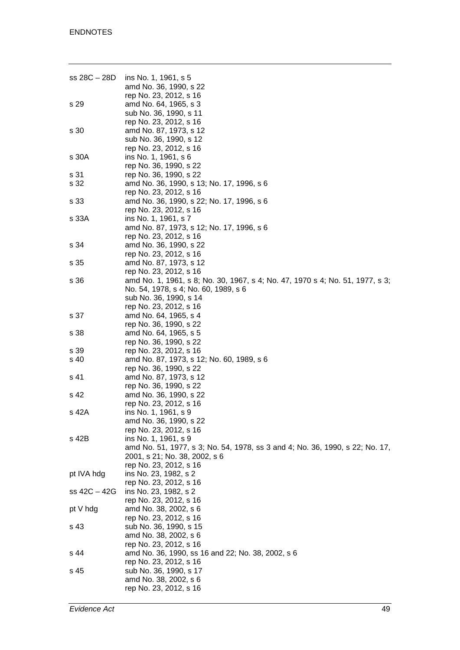| ss 28C – 28D | ins No. 1, 1961, s 5                                                          |
|--------------|-------------------------------------------------------------------------------|
|              | amd No. 36, 1990, s 22                                                        |
|              | rep No. 23, 2012, s 16                                                        |
| s 29         | amd No. 64, 1965, s 3                                                         |
|              | sub No. 36, 1990, s 11                                                        |
|              | rep No. 23, 2012, s 16                                                        |
| s 30         | amd No. 87, 1973, s 12                                                        |
|              | sub No. 36, 1990, s 12                                                        |
|              | rep No. 23, 2012, s 16                                                        |
| s 30A        | ins No. 1, 1961, s 6                                                          |
|              | rep No. 36, 1990, s 22                                                        |
| s 31         | rep No. 36, 1990, s 22                                                        |
| s 32         | amd No. 36, 1990, s 13; No. 17, 1996, s 6                                     |
|              | rep No. 23, 2012, s 16                                                        |
| s 33         | amd No. 36, 1990, s 22; No. 17, 1996, s 6                                     |
|              | rep No. 23, 2012, s 16                                                        |
| s 33A        | ins No. 1, 1961, s 7                                                          |
|              | amd No. 87, 1973, s 12; No. 17, 1996, s 6                                     |
|              | rep No. 23, 2012, s 16                                                        |
| s 34         | amd No. 36, 1990, s 22                                                        |
|              | rep No. 23, 2012, s 16                                                        |
| s 35         | amd No. 87, 1973, s 12                                                        |
|              | rep No. 23, 2012, s 16                                                        |
| s 36         | amd No. 1, 1961, s 8; No. 30, 1967, s 4; No. 47, 1970 s 4; No. 51, 1977, s 3; |
|              | No. 54, 1978, s 4; No. 60, 1989, s 6                                          |
|              | sub No. 36, 1990, s 14                                                        |
|              | rep No. 23, 2012, s 16                                                        |
| s 37         | amd No. 64, 1965, s 4                                                         |
|              | rep No. 36, 1990, s 22                                                        |
| s 38         | amd No. 64, 1965, s 5                                                         |
|              | rep No. 36, 1990, s 22                                                        |
| s 39         | rep No. 23, 2012, s 16                                                        |
| s 40         | amd No. 87, 1973, s 12; No. 60, 1989, s 6                                     |
|              | rep No. 36, 1990, s 22                                                        |
| s 41         | amd No. 87, 1973, s 12                                                        |
|              | rep No. 36, 1990, s 22                                                        |
| s 42         | amd No. 36, 1990, s 22                                                        |
|              | rep No. 23, 2012, s 16                                                        |
| s 42A        | ins No. 1, 1961, s 9                                                          |
|              | amd No. 36, 1990, s 22                                                        |
|              | rep No. 23, 2012, s 16                                                        |
| s 42B        | ins No. 1, 1961, s 9                                                          |
|              | amd No. 51, 1977, s 3; No. 54, 1978, ss 3 and 4; No. 36, 1990, s 22; No. 17,  |
|              | 2001, s 21; No. 38, 2002, s 6                                                 |
|              | rep No. 23, 2012, s 16                                                        |
| pt IVA hdg   | ins No. 23, 1982, s 2                                                         |
|              | rep No. 23, 2012, s 16                                                        |
| ss 42C – 42G | ins No. 23, 1982, s 2                                                         |
|              | rep No. 23, 2012, s 16                                                        |
| pt V hdg     | amd No. 38, 2002, s 6                                                         |
|              | rep No. 23, 2012, s 16                                                        |
| s 43         | sub No. 36, 1990, s 15                                                        |
|              | amd No. 38, 2002, s 6                                                         |
|              | rep No. 23, 2012, s 16                                                        |
| s 44         | amd No. 36, 1990, ss 16 and 22; No. 38, 2002, s 6                             |
|              | rep No. 23, 2012, s 16                                                        |
| s 45         | sub No. 36, 1990, s 17                                                        |
|              | amd No. 38, 2002, s 6                                                         |
|              | rep No. 23, 2012, s 16                                                        |
|              |                                                                               |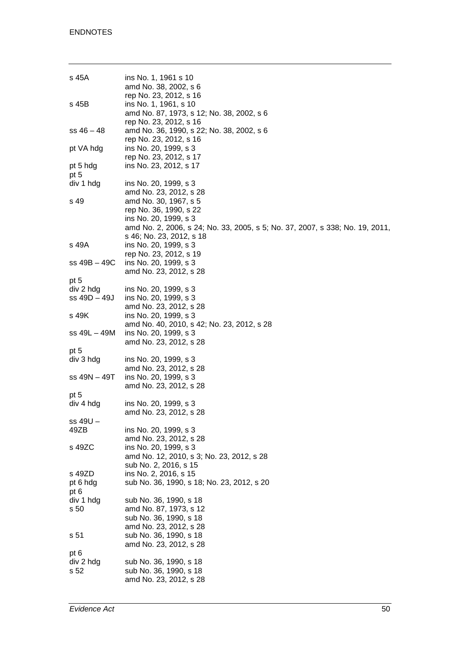| s 45A            | ins No. 1, 1961 s 10<br>amd No. 38, 2002, s 6                                                                                                            |
|------------------|----------------------------------------------------------------------------------------------------------------------------------------------------------|
| s 45B            | rep No. 23, 2012, s 16<br>ins No. 1, 1961, s 10<br>amd No. 87, 1973, s 12; No. 38, 2002, s 6<br>rep No. 23, 2012, s 16                                   |
| $ss 46 - 48$     | amd No. 36, 1990, s 22; No. 38, 2002, s 6<br>rep No. 23, 2012, s 16                                                                                      |
| pt VA hdg        | ins No. 20, 1999, s 3<br>rep No. 23, 2012, s 17                                                                                                          |
| pt 5 hdg<br>pt 5 | ins No. 23, 2012, s 17                                                                                                                                   |
| div 1 hdg        | ins No. 20, 1999, s 3<br>amd No. 23, 2012, s 28                                                                                                          |
| s 49             | amd No. 30, 1967, s 5<br>rep No. 36, 1990, s 22<br>ins No. 20, 1999, s 3<br>amd No. 2, 2006, s 24; No. 33, 2005, s 5; No. 37, 2007, s 338; No. 19, 2011, |
| s 49A            | s 46; No. 23, 2012, s 18<br>ins No. 20, 1999, s 3<br>rep No. 23, 2012, s 19                                                                              |
| ss 49B - 49C     | ins No. 20, 1999, s 3<br>amd No. 23, 2012, s 28                                                                                                          |
| pt 5             |                                                                                                                                                          |
| div 2 hdg        | ins No. 20, 1999, s 3                                                                                                                                    |
| $ss$ 49D $-$ 49J | ins No. 20, 1999, s 3<br>amd No. 23, 2012, s 28                                                                                                          |
| s 49K            | ins No. 20, 1999, s 3<br>amd No. 40, 2010, s 42; No. 23, 2012, s 28                                                                                      |
| ss 49L – 49M     | ins No. 20, 1999, s 3<br>amd No. 23, 2012, s 28                                                                                                          |
| pt 5             |                                                                                                                                                          |
| div 3 hdg        | ins No. 20, 1999, s 3                                                                                                                                    |
|                  | amd No. 23, 2012, s 28                                                                                                                                   |
| ss 49N – 49T     | ins No. 20, 1999, s 3                                                                                                                                    |
|                  | amd No. 23, 2012, s 28                                                                                                                                   |
| pt 5             |                                                                                                                                                          |
| div 4 hdg        | ins No. 20, 1999, s 3                                                                                                                                    |
|                  | amd No. 23, 2012, s 28                                                                                                                                   |
| ss 49U –         |                                                                                                                                                          |
| 49ZB             | ins No. 20, 1999, s 3                                                                                                                                    |
|                  | amd No. 23, 2012, s 28                                                                                                                                   |
| s 49ZC           | ins No. 20, 1999, s 3                                                                                                                                    |
|                  | amd No. 12, 2010, s 3; No. 23, 2012, s 28                                                                                                                |
|                  | sub No. 2, 2016, s 15                                                                                                                                    |
| s 49ZD           | ins No. 2, 2016, s 15                                                                                                                                    |
| pt 6 hdg<br>pt 6 | sub No. 36, 1990, s 18; No. 23, 2012, s 20                                                                                                               |
| div 1 hdg        | sub No. 36, 1990, s 18                                                                                                                                   |
| s 50             | amd No. 87, 1973, s 12                                                                                                                                   |
|                  | sub No. 36, 1990, s 18                                                                                                                                   |
|                  | amd No. 23, 2012, s 28                                                                                                                                   |
| s 51             | sub No. 36, 1990, s 18<br>amd No. 23, 2012, s 28                                                                                                         |
| pt 6             |                                                                                                                                                          |
| div 2 hdg        | sub No. 36, 1990, s 18                                                                                                                                   |
| s 52             | sub No. 36, 1990, s 18                                                                                                                                   |
|                  | amd No. 23, 2012, s 28                                                                                                                                   |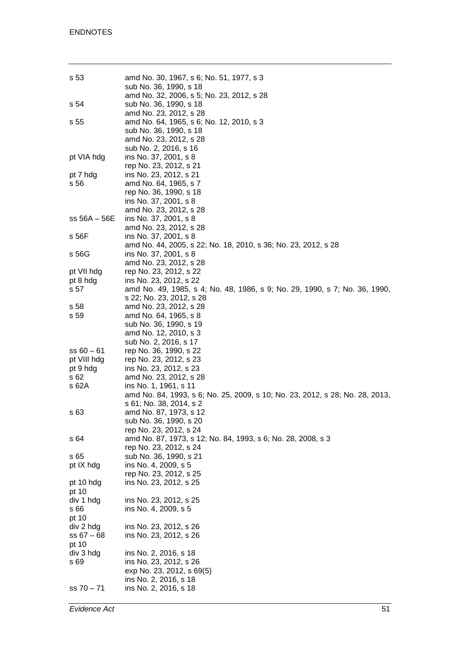| sub No. 36, 1990, s 18<br>amd No. 23, 2012, s 28<br>amd No. 64, 1965, s 6; No. 12, 2010, s 3<br>sub No. 36, 1990, s 18<br>amd No. 23, 2012, s 28<br>sub No. 2, 2016, s 16<br>ins No. 37, 2001, s 8<br>rep No. 23, 2012, s 21<br>pt 7 hdg<br>ins No. 23, 2012, s 21<br>s 56<br>amd No. 64, 1965, s 7<br>rep No. 36, 1990, s 18<br>ins No. 37, 2001, s 8<br>amd No. 23, 2012, s 28<br>$ss 56A - 56E$<br>ins No. 37, 2001, s 8<br>amd No. 23, 2012, s 28<br>ins No. 37, 2001, s 8<br>s 56F<br>amd No. 44, 2005, s 22; No. 18, 2010, s 36; No. 23, 2012, s 28<br>ins No. 37, 2001, s 8<br>amd No. 23, 2012, s 28<br>rep No. 23, 2012, s 22<br>ins No. 23, 2012, s 22<br>pt 8 hdg<br>s 57<br>amd No. 49, 1985, s 4; No. 48, 1986, s 9; No. 29, 1990, s 7; No. 36, 1990,<br>s 22; No. 23, 2012, s 28<br>s 58<br>amd No. 23, 2012, s 28<br>s 59<br>amd No. 64, 1965, s 8<br>sub No. 36, 1990, s 19<br>amd No. 12, 2010, s 3<br>sub No. 2, 2016, s 17<br>$ss 60 - 61$<br>rep No. 36, 1990, s 22<br>pt VIII hdg<br>rep No. 23, 2012, s 23<br>ins No. 23, 2012, s 23<br>pt 9 hdg<br>s 62<br>amd No. 23, 2012, s 28<br>s 62A<br>ins No. 1, 1961, s 11<br>amd No. 84, 1993, s 6; No. 25, 2009, s 10; No. 23, 2012, s 28; No. 28, 2013,<br>s 61; No. 38, 2014, s 2<br>amd No. 87, 1973, s 12<br>s 63<br>sub No. 36, 1990, s 20<br>rep No. 23, 2012, s 24<br>amd No. 87, 1973, s 12; No. 84, 1993, s 6; No. 28, 2008, s 3<br>s 64<br>rep No. 23, 2012, s 24<br>s 65<br>sub No. 36, 1990, s 21<br>ins No. 4, 2009, s 5<br>pt IX hdg<br>rep No. 23, 2012, s 25<br>ins No. 23, 2012, s 25<br>pt 10 hdg<br>pt 10<br>div 1 hdg<br>ins No. 23, 2012, s 25<br>s 66<br>ins No. 4, 2009, s 5<br>pt 10<br>ins No. 23, 2012, s 26<br>div 2 hdg<br>$ss 67 - 68$<br>ins No. 23, 2012, s 26<br>pt 10<br>div 3 hdg<br>ins No. 2, 2016, s 18<br>s 69<br>ins No. 23, 2012, s 26<br>exp No. 23, 2012, s 69(5)<br>ins No. 2, 2016, s 18<br>$ss 70 - 71$<br>ins No. 2, 2016, s 18 | s 53            | amd No. 30, 1967, s 6; No. 51, 1977, s 3<br>sub No. 36, 1990, s 18 |
|-------------------------------------------------------------------------------------------------------------------------------------------------------------------------------------------------------------------------------------------------------------------------------------------------------------------------------------------------------------------------------------------------------------------------------------------------------------------------------------------------------------------------------------------------------------------------------------------------------------------------------------------------------------------------------------------------------------------------------------------------------------------------------------------------------------------------------------------------------------------------------------------------------------------------------------------------------------------------------------------------------------------------------------------------------------------------------------------------------------------------------------------------------------------------------------------------------------------------------------------------------------------------------------------------------------------------------------------------------------------------------------------------------------------------------------------------------------------------------------------------------------------------------------------------------------------------------------------------------------------------------------------------------------------------------------------------------------------------------------------------------------------------------------------------------------------------------------------------------------------------------------------------------------------------------------------------|-----------------|--------------------------------------------------------------------|
|                                                                                                                                                                                                                                                                                                                                                                                                                                                                                                                                                                                                                                                                                                                                                                                                                                                                                                                                                                                                                                                                                                                                                                                                                                                                                                                                                                                                                                                                                                                                                                                                                                                                                                                                                                                                                                                                                                                                                 | s 54            | amd No. 32, 2006, s 5; No. 23, 2012, s 28                          |
|                                                                                                                                                                                                                                                                                                                                                                                                                                                                                                                                                                                                                                                                                                                                                                                                                                                                                                                                                                                                                                                                                                                                                                                                                                                                                                                                                                                                                                                                                                                                                                                                                                                                                                                                                                                                                                                                                                                                                 | s <sub>55</sub> |                                                                    |
|                                                                                                                                                                                                                                                                                                                                                                                                                                                                                                                                                                                                                                                                                                                                                                                                                                                                                                                                                                                                                                                                                                                                                                                                                                                                                                                                                                                                                                                                                                                                                                                                                                                                                                                                                                                                                                                                                                                                                 | pt VIA hdg      |                                                                    |
|                                                                                                                                                                                                                                                                                                                                                                                                                                                                                                                                                                                                                                                                                                                                                                                                                                                                                                                                                                                                                                                                                                                                                                                                                                                                                                                                                                                                                                                                                                                                                                                                                                                                                                                                                                                                                                                                                                                                                 |                 |                                                                    |
|                                                                                                                                                                                                                                                                                                                                                                                                                                                                                                                                                                                                                                                                                                                                                                                                                                                                                                                                                                                                                                                                                                                                                                                                                                                                                                                                                                                                                                                                                                                                                                                                                                                                                                                                                                                                                                                                                                                                                 |                 |                                                                    |
|                                                                                                                                                                                                                                                                                                                                                                                                                                                                                                                                                                                                                                                                                                                                                                                                                                                                                                                                                                                                                                                                                                                                                                                                                                                                                                                                                                                                                                                                                                                                                                                                                                                                                                                                                                                                                                                                                                                                                 |                 |                                                                    |
|                                                                                                                                                                                                                                                                                                                                                                                                                                                                                                                                                                                                                                                                                                                                                                                                                                                                                                                                                                                                                                                                                                                                                                                                                                                                                                                                                                                                                                                                                                                                                                                                                                                                                                                                                                                                                                                                                                                                                 |                 |                                                                    |
|                                                                                                                                                                                                                                                                                                                                                                                                                                                                                                                                                                                                                                                                                                                                                                                                                                                                                                                                                                                                                                                                                                                                                                                                                                                                                                                                                                                                                                                                                                                                                                                                                                                                                                                                                                                                                                                                                                                                                 |                 |                                                                    |
|                                                                                                                                                                                                                                                                                                                                                                                                                                                                                                                                                                                                                                                                                                                                                                                                                                                                                                                                                                                                                                                                                                                                                                                                                                                                                                                                                                                                                                                                                                                                                                                                                                                                                                                                                                                                                                                                                                                                                 |                 |                                                                    |
|                                                                                                                                                                                                                                                                                                                                                                                                                                                                                                                                                                                                                                                                                                                                                                                                                                                                                                                                                                                                                                                                                                                                                                                                                                                                                                                                                                                                                                                                                                                                                                                                                                                                                                                                                                                                                                                                                                                                                 |                 |                                                                    |
|                                                                                                                                                                                                                                                                                                                                                                                                                                                                                                                                                                                                                                                                                                                                                                                                                                                                                                                                                                                                                                                                                                                                                                                                                                                                                                                                                                                                                                                                                                                                                                                                                                                                                                                                                                                                                                                                                                                                                 |                 |                                                                    |
|                                                                                                                                                                                                                                                                                                                                                                                                                                                                                                                                                                                                                                                                                                                                                                                                                                                                                                                                                                                                                                                                                                                                                                                                                                                                                                                                                                                                                                                                                                                                                                                                                                                                                                                                                                                                                                                                                                                                                 |                 |                                                                    |
|                                                                                                                                                                                                                                                                                                                                                                                                                                                                                                                                                                                                                                                                                                                                                                                                                                                                                                                                                                                                                                                                                                                                                                                                                                                                                                                                                                                                                                                                                                                                                                                                                                                                                                                                                                                                                                                                                                                                                 |                 |                                                                    |
|                                                                                                                                                                                                                                                                                                                                                                                                                                                                                                                                                                                                                                                                                                                                                                                                                                                                                                                                                                                                                                                                                                                                                                                                                                                                                                                                                                                                                                                                                                                                                                                                                                                                                                                                                                                                                                                                                                                                                 | s 56G           |                                                                    |
|                                                                                                                                                                                                                                                                                                                                                                                                                                                                                                                                                                                                                                                                                                                                                                                                                                                                                                                                                                                                                                                                                                                                                                                                                                                                                                                                                                                                                                                                                                                                                                                                                                                                                                                                                                                                                                                                                                                                                 |                 |                                                                    |
|                                                                                                                                                                                                                                                                                                                                                                                                                                                                                                                                                                                                                                                                                                                                                                                                                                                                                                                                                                                                                                                                                                                                                                                                                                                                                                                                                                                                                                                                                                                                                                                                                                                                                                                                                                                                                                                                                                                                                 | pt VII hdg      |                                                                    |
|                                                                                                                                                                                                                                                                                                                                                                                                                                                                                                                                                                                                                                                                                                                                                                                                                                                                                                                                                                                                                                                                                                                                                                                                                                                                                                                                                                                                                                                                                                                                                                                                                                                                                                                                                                                                                                                                                                                                                 |                 |                                                                    |
|                                                                                                                                                                                                                                                                                                                                                                                                                                                                                                                                                                                                                                                                                                                                                                                                                                                                                                                                                                                                                                                                                                                                                                                                                                                                                                                                                                                                                                                                                                                                                                                                                                                                                                                                                                                                                                                                                                                                                 |                 |                                                                    |
|                                                                                                                                                                                                                                                                                                                                                                                                                                                                                                                                                                                                                                                                                                                                                                                                                                                                                                                                                                                                                                                                                                                                                                                                                                                                                                                                                                                                                                                                                                                                                                                                                                                                                                                                                                                                                                                                                                                                                 |                 |                                                                    |
|                                                                                                                                                                                                                                                                                                                                                                                                                                                                                                                                                                                                                                                                                                                                                                                                                                                                                                                                                                                                                                                                                                                                                                                                                                                                                                                                                                                                                                                                                                                                                                                                                                                                                                                                                                                                                                                                                                                                                 |                 |                                                                    |
|                                                                                                                                                                                                                                                                                                                                                                                                                                                                                                                                                                                                                                                                                                                                                                                                                                                                                                                                                                                                                                                                                                                                                                                                                                                                                                                                                                                                                                                                                                                                                                                                                                                                                                                                                                                                                                                                                                                                                 |                 |                                                                    |
|                                                                                                                                                                                                                                                                                                                                                                                                                                                                                                                                                                                                                                                                                                                                                                                                                                                                                                                                                                                                                                                                                                                                                                                                                                                                                                                                                                                                                                                                                                                                                                                                                                                                                                                                                                                                                                                                                                                                                 |                 |                                                                    |
|                                                                                                                                                                                                                                                                                                                                                                                                                                                                                                                                                                                                                                                                                                                                                                                                                                                                                                                                                                                                                                                                                                                                                                                                                                                                                                                                                                                                                                                                                                                                                                                                                                                                                                                                                                                                                                                                                                                                                 |                 |                                                                    |
|                                                                                                                                                                                                                                                                                                                                                                                                                                                                                                                                                                                                                                                                                                                                                                                                                                                                                                                                                                                                                                                                                                                                                                                                                                                                                                                                                                                                                                                                                                                                                                                                                                                                                                                                                                                                                                                                                                                                                 |                 |                                                                    |
|                                                                                                                                                                                                                                                                                                                                                                                                                                                                                                                                                                                                                                                                                                                                                                                                                                                                                                                                                                                                                                                                                                                                                                                                                                                                                                                                                                                                                                                                                                                                                                                                                                                                                                                                                                                                                                                                                                                                                 |                 |                                                                    |
|                                                                                                                                                                                                                                                                                                                                                                                                                                                                                                                                                                                                                                                                                                                                                                                                                                                                                                                                                                                                                                                                                                                                                                                                                                                                                                                                                                                                                                                                                                                                                                                                                                                                                                                                                                                                                                                                                                                                                 |                 |                                                                    |
|                                                                                                                                                                                                                                                                                                                                                                                                                                                                                                                                                                                                                                                                                                                                                                                                                                                                                                                                                                                                                                                                                                                                                                                                                                                                                                                                                                                                                                                                                                                                                                                                                                                                                                                                                                                                                                                                                                                                                 |                 |                                                                    |
|                                                                                                                                                                                                                                                                                                                                                                                                                                                                                                                                                                                                                                                                                                                                                                                                                                                                                                                                                                                                                                                                                                                                                                                                                                                                                                                                                                                                                                                                                                                                                                                                                                                                                                                                                                                                                                                                                                                                                 |                 |                                                                    |
|                                                                                                                                                                                                                                                                                                                                                                                                                                                                                                                                                                                                                                                                                                                                                                                                                                                                                                                                                                                                                                                                                                                                                                                                                                                                                                                                                                                                                                                                                                                                                                                                                                                                                                                                                                                                                                                                                                                                                 |                 |                                                                    |
|                                                                                                                                                                                                                                                                                                                                                                                                                                                                                                                                                                                                                                                                                                                                                                                                                                                                                                                                                                                                                                                                                                                                                                                                                                                                                                                                                                                                                                                                                                                                                                                                                                                                                                                                                                                                                                                                                                                                                 |                 |                                                                    |
|                                                                                                                                                                                                                                                                                                                                                                                                                                                                                                                                                                                                                                                                                                                                                                                                                                                                                                                                                                                                                                                                                                                                                                                                                                                                                                                                                                                                                                                                                                                                                                                                                                                                                                                                                                                                                                                                                                                                                 |                 |                                                                    |
|                                                                                                                                                                                                                                                                                                                                                                                                                                                                                                                                                                                                                                                                                                                                                                                                                                                                                                                                                                                                                                                                                                                                                                                                                                                                                                                                                                                                                                                                                                                                                                                                                                                                                                                                                                                                                                                                                                                                                 |                 |                                                                    |
|                                                                                                                                                                                                                                                                                                                                                                                                                                                                                                                                                                                                                                                                                                                                                                                                                                                                                                                                                                                                                                                                                                                                                                                                                                                                                                                                                                                                                                                                                                                                                                                                                                                                                                                                                                                                                                                                                                                                                 |                 |                                                                    |
|                                                                                                                                                                                                                                                                                                                                                                                                                                                                                                                                                                                                                                                                                                                                                                                                                                                                                                                                                                                                                                                                                                                                                                                                                                                                                                                                                                                                                                                                                                                                                                                                                                                                                                                                                                                                                                                                                                                                                 |                 |                                                                    |
|                                                                                                                                                                                                                                                                                                                                                                                                                                                                                                                                                                                                                                                                                                                                                                                                                                                                                                                                                                                                                                                                                                                                                                                                                                                                                                                                                                                                                                                                                                                                                                                                                                                                                                                                                                                                                                                                                                                                                 |                 |                                                                    |
|                                                                                                                                                                                                                                                                                                                                                                                                                                                                                                                                                                                                                                                                                                                                                                                                                                                                                                                                                                                                                                                                                                                                                                                                                                                                                                                                                                                                                                                                                                                                                                                                                                                                                                                                                                                                                                                                                                                                                 |                 |                                                                    |
|                                                                                                                                                                                                                                                                                                                                                                                                                                                                                                                                                                                                                                                                                                                                                                                                                                                                                                                                                                                                                                                                                                                                                                                                                                                                                                                                                                                                                                                                                                                                                                                                                                                                                                                                                                                                                                                                                                                                                 |                 |                                                                    |
|                                                                                                                                                                                                                                                                                                                                                                                                                                                                                                                                                                                                                                                                                                                                                                                                                                                                                                                                                                                                                                                                                                                                                                                                                                                                                                                                                                                                                                                                                                                                                                                                                                                                                                                                                                                                                                                                                                                                                 |                 |                                                                    |
|                                                                                                                                                                                                                                                                                                                                                                                                                                                                                                                                                                                                                                                                                                                                                                                                                                                                                                                                                                                                                                                                                                                                                                                                                                                                                                                                                                                                                                                                                                                                                                                                                                                                                                                                                                                                                                                                                                                                                 |                 |                                                                    |
|                                                                                                                                                                                                                                                                                                                                                                                                                                                                                                                                                                                                                                                                                                                                                                                                                                                                                                                                                                                                                                                                                                                                                                                                                                                                                                                                                                                                                                                                                                                                                                                                                                                                                                                                                                                                                                                                                                                                                 |                 |                                                                    |
|                                                                                                                                                                                                                                                                                                                                                                                                                                                                                                                                                                                                                                                                                                                                                                                                                                                                                                                                                                                                                                                                                                                                                                                                                                                                                                                                                                                                                                                                                                                                                                                                                                                                                                                                                                                                                                                                                                                                                 |                 |                                                                    |
|                                                                                                                                                                                                                                                                                                                                                                                                                                                                                                                                                                                                                                                                                                                                                                                                                                                                                                                                                                                                                                                                                                                                                                                                                                                                                                                                                                                                                                                                                                                                                                                                                                                                                                                                                                                                                                                                                                                                                 |                 |                                                                    |
|                                                                                                                                                                                                                                                                                                                                                                                                                                                                                                                                                                                                                                                                                                                                                                                                                                                                                                                                                                                                                                                                                                                                                                                                                                                                                                                                                                                                                                                                                                                                                                                                                                                                                                                                                                                                                                                                                                                                                 |                 |                                                                    |
|                                                                                                                                                                                                                                                                                                                                                                                                                                                                                                                                                                                                                                                                                                                                                                                                                                                                                                                                                                                                                                                                                                                                                                                                                                                                                                                                                                                                                                                                                                                                                                                                                                                                                                                                                                                                                                                                                                                                                 |                 |                                                                    |
|                                                                                                                                                                                                                                                                                                                                                                                                                                                                                                                                                                                                                                                                                                                                                                                                                                                                                                                                                                                                                                                                                                                                                                                                                                                                                                                                                                                                                                                                                                                                                                                                                                                                                                                                                                                                                                                                                                                                                 |                 |                                                                    |
|                                                                                                                                                                                                                                                                                                                                                                                                                                                                                                                                                                                                                                                                                                                                                                                                                                                                                                                                                                                                                                                                                                                                                                                                                                                                                                                                                                                                                                                                                                                                                                                                                                                                                                                                                                                                                                                                                                                                                 |                 |                                                                    |
|                                                                                                                                                                                                                                                                                                                                                                                                                                                                                                                                                                                                                                                                                                                                                                                                                                                                                                                                                                                                                                                                                                                                                                                                                                                                                                                                                                                                                                                                                                                                                                                                                                                                                                                                                                                                                                                                                                                                                 |                 |                                                                    |
|                                                                                                                                                                                                                                                                                                                                                                                                                                                                                                                                                                                                                                                                                                                                                                                                                                                                                                                                                                                                                                                                                                                                                                                                                                                                                                                                                                                                                                                                                                                                                                                                                                                                                                                                                                                                                                                                                                                                                 |                 |                                                                    |
|                                                                                                                                                                                                                                                                                                                                                                                                                                                                                                                                                                                                                                                                                                                                                                                                                                                                                                                                                                                                                                                                                                                                                                                                                                                                                                                                                                                                                                                                                                                                                                                                                                                                                                                                                                                                                                                                                                                                                 |                 |                                                                    |
|                                                                                                                                                                                                                                                                                                                                                                                                                                                                                                                                                                                                                                                                                                                                                                                                                                                                                                                                                                                                                                                                                                                                                                                                                                                                                                                                                                                                                                                                                                                                                                                                                                                                                                                                                                                                                                                                                                                                                 |                 |                                                                    |
|                                                                                                                                                                                                                                                                                                                                                                                                                                                                                                                                                                                                                                                                                                                                                                                                                                                                                                                                                                                                                                                                                                                                                                                                                                                                                                                                                                                                                                                                                                                                                                                                                                                                                                                                                                                                                                                                                                                                                 |                 |                                                                    |
|                                                                                                                                                                                                                                                                                                                                                                                                                                                                                                                                                                                                                                                                                                                                                                                                                                                                                                                                                                                                                                                                                                                                                                                                                                                                                                                                                                                                                                                                                                                                                                                                                                                                                                                                                                                                                                                                                                                                                 |                 |                                                                    |
|                                                                                                                                                                                                                                                                                                                                                                                                                                                                                                                                                                                                                                                                                                                                                                                                                                                                                                                                                                                                                                                                                                                                                                                                                                                                                                                                                                                                                                                                                                                                                                                                                                                                                                                                                                                                                                                                                                                                                 |                 |                                                                    |